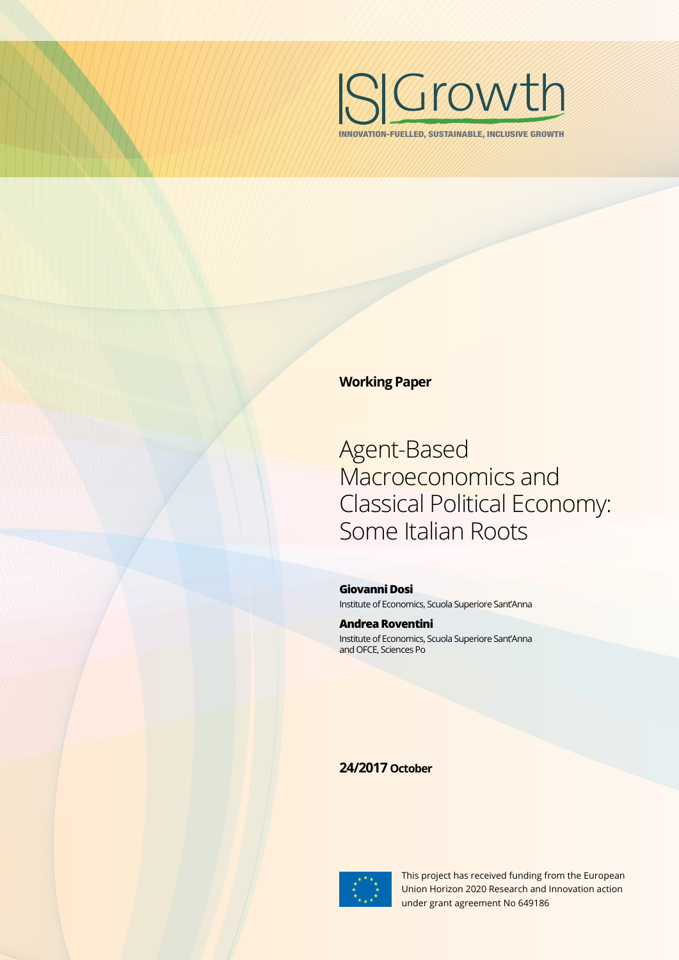

INNOVATION-FUELLED, SUSTAINABLE, INCLUSIVE GROWTH

# **Working Paper**

# Agent-Based Macroeconomics and Classical Political Economy: Some Italian Roots

#### **Giovanni Dosi**

Institute of Economics, Scuola Superiore Sant'Anna

# **Andrea Roventini**

Institute of Economics, Scuola Superiore Sant'Anna and OFCE, Sciences Po

# **24/2017 October**



This project has received funding from the European Union Horizon 2020 Research and Innovation action under grant agreement No 649186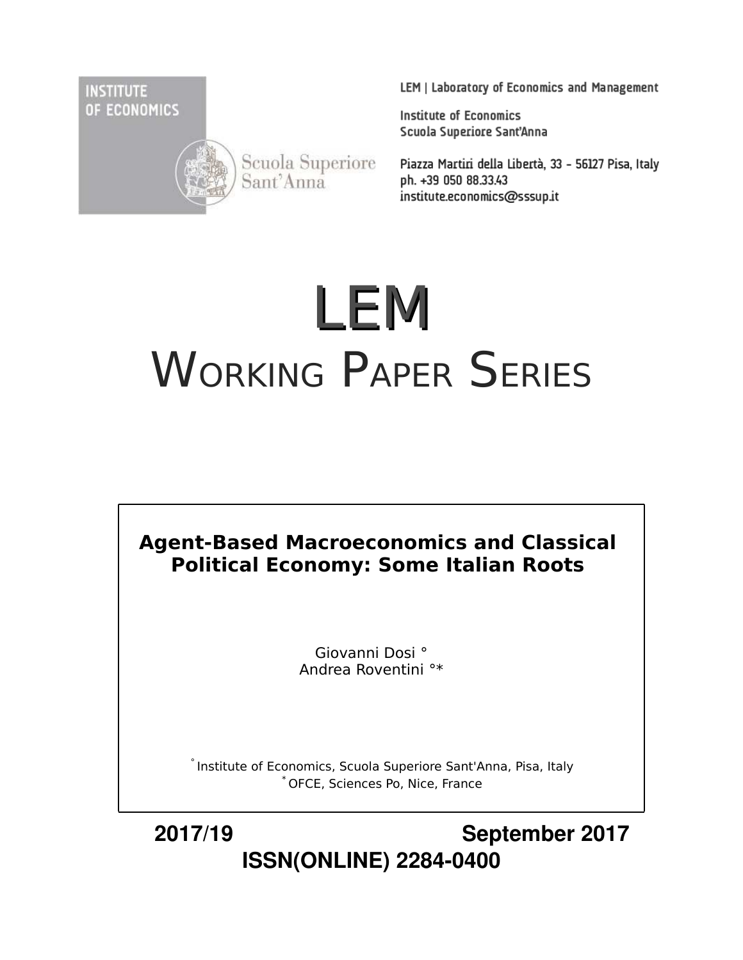



Scuola Superiore Sant'Anna

LEM | Laboratory of Economics and Management

**Institute of Economics** Scuola Superiore Sant'Anna

Piazza Martiri della Libertà, 33 - 56127 Pisa, Italy ph. +39 050 88.33.43 institute.economics@sssup.it

# LEM WORKING PAPER SERIES

# **Agent-Based Macroeconomics and Classical Political Economy: Some Italian Roots**

Giovanni Dosi ° Andrea Roventini °\*

° Institute of Economics, Scuola Superiore Sant'Anna, Pisa, Italy \* OFCE, Sciences Po, Nice, France

 **2017/19 September 2017 ISSN(ONLINE) 2284-0400**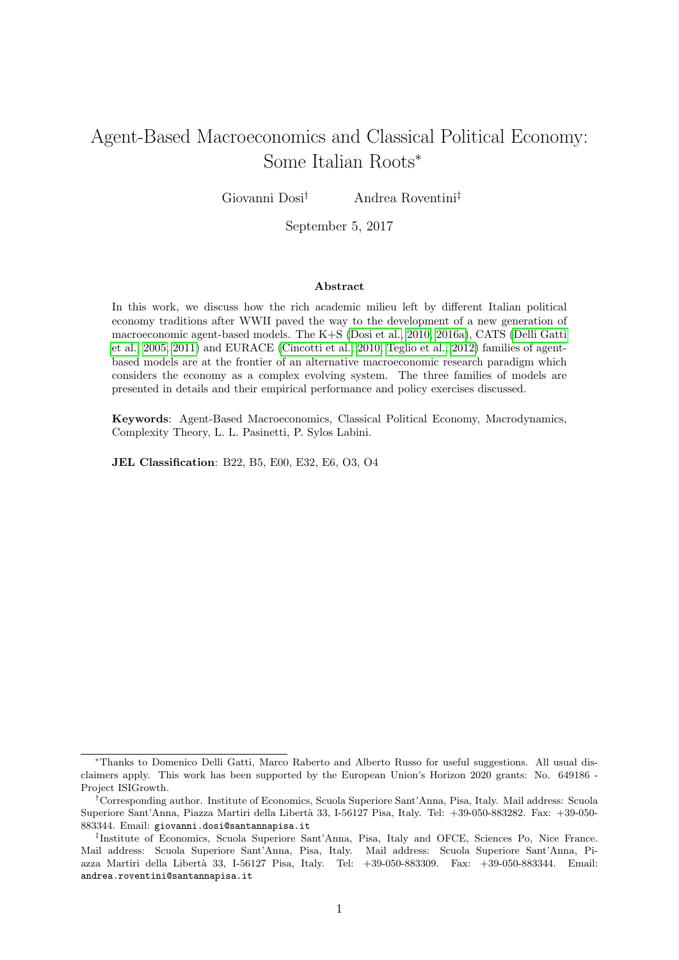# Agent-Based Macroeconomics and Classical Political Economy: Some Italian Roots<sup>∗</sup>

Giovanni Dosi† Andrea Roventini‡

September 5, 2017

#### Abstract

In this work, we discuss how the rich academic milieu left by different Italian political economy traditions after WWII paved the way to the development of a new generation of macroeconomic agent-based models. The K+S [\(Dosi et al., 2010,](#page-21-0) [2016a\)](#page-21-1), CATS [\(Delli Gatti](#page-21-2) [et al., 2005,](#page-21-2) [2011\)](#page-21-3) and EURACE [\(Cincotti et al., 2010;](#page-21-4) [Teglio et al., 2012\)](#page-24-0) families of agentbased models are at the frontier of an alternative macroeconomic research paradigm which considers the economy as a complex evolving system. The three families of models are presented in details and their empirical performance and policy exercises discussed.

Keywords: Agent-Based Macroeconomics, Classical Political Economy, Macrodynamics, Complexity Theory, L. L. Pasinetti, P. Sylos Labini.

JEL Classification: B22, B5, E00, E32, E6, O3, O4

<sup>∗</sup>Thanks to Domenico Delli Gatti, Marco Raberto and Alberto Russo for useful suggestions. All usual disclaimers apply. This work has been supported by the European Union's Horizon 2020 grants: No. 649186 - Project ISIGrowth.

<sup>†</sup>Corresponding author. Institute of Economics, Scuola Superiore Sant'Anna, Pisa, Italy. Mail address: Scuola Superiore Sant'Anna, Piazza Martiri della Libertà 33, I-56127 Pisa, Italy. Tel: +39-050-883282. Fax: +39-050-883344. Email: giovanni.dosi@santannapisa.it

<sup>‡</sup> Institute of Economics, Scuola Superiore Sant'Anna, Pisa, Italy and OFCE, Sciences Po, Nice France. Mail address: Scuola Superiore Sant'Anna, Pisa, Italy. Mail address: Scuola Superiore Sant'Anna, Piazza Martiri della Libert`a 33, I-56127 Pisa, Italy. Tel: +39-050-883309. Fax: +39-050-883344. Email: andrea.roventini@santannapisa.it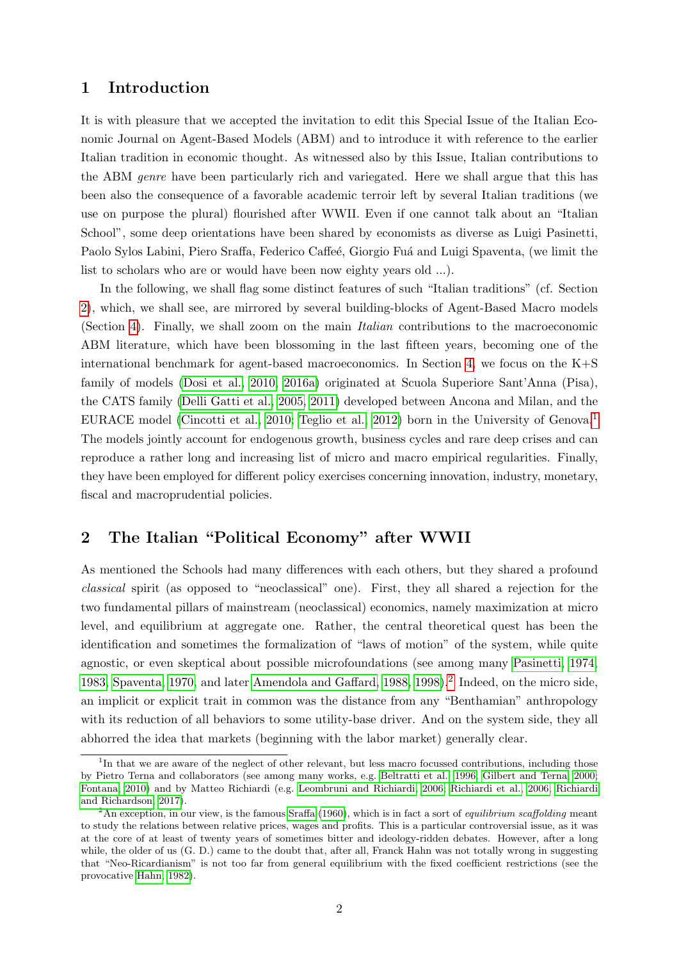## 1 Introduction

It is with pleasure that we accepted the invitation to edit this Special Issue of the Italian Economic Journal on Agent-Based Models (ABM) and to introduce it with reference to the earlier Italian tradition in economic thought. As witnessed also by this Issue, Italian contributions to the ABM genre have been particularly rich and variegated. Here we shall argue that this has been also the consequence of a favorable academic terroir left by several Italian traditions (we use on purpose the plural) flourished after WWII. Even if one cannot talk about an "Italian School", some deep orientations have been shared by economists as diverse as Luigi Pasinetti, Paolo Sylos Labini, Piero Sraffa, Federico Caffeé, Giorgio Fuá and Luigi Spaventa, (we limit the list to scholars who are or would have been now eighty years old ...).

In the following, we shall flag some distinct features of such "Italian traditions" (cf. Section [2\)](#page-3-0), which, we shall see, are mirrored by several building-blocks of Agent-Based Macro models (Section [4\)](#page-8-0). Finally, we shall zoom on the main Italian contributions to the macroeconomic ABM literature, which have been blossoming in the last fifteen years, becoming one of the international benchmark for agent-based macroeconomics. In Section [4,](#page-8-0) we focus on the  $K+S$ family of models [\(Dosi et al., 2010,](#page-21-0) [2016a\)](#page-21-1) originated at Scuola Superiore Sant'Anna (Pisa), the CATS family [\(Delli Gatti et al., 2005,](#page-21-2) [2011\)](#page-21-3) developed between Ancona and Milan, and the EURACE model [\(Cincotti et al., 2010;](#page-21-4) [Teglio et al., 2012\)](#page-24-0) born in the University of Genova.[1](#page-3-1) The models jointly account for endogenous growth, business cycles and rare deep crises and can reproduce a rather long and increasing list of micro and macro empirical regularities. Finally, they have been employed for different policy exercises concerning innovation, industry, monetary, fiscal and macroprudential policies.

## <span id="page-3-0"></span>2 The Italian "Political Economy" after WWII

As mentioned the Schools had many differences with each others, but they shared a profound classical spirit (as opposed to "neoclassical" one). First, they all shared a rejection for the two fundamental pillars of mainstream (neoclassical) economics, namely maximization at micro level, and equilibrium at aggregate one. Rather, the central theoretical quest has been the identification and sometimes the formalization of "laws of motion" of the system, while quite agnostic, or even skeptical about possible microfoundations (see among many [Pasinetti, 1974,](#page-23-0) [1983,](#page-23-1) [Spaventa, 1970,](#page-23-2) and later [Amendola and Gaffard, 1988,](#page-20-0) [1998\)](#page-20-1).<sup>[2](#page-3-2)</sup> Indeed, on the micro side, an implicit or explicit trait in common was the distance from any "Benthamian" anthropology with its reduction of all behaviors to some utility-base driver. And on the system side, they all abhorred the idea that markets (beginning with the labor market) generally clear.

<span id="page-3-1"></span><sup>&</sup>lt;sup>1</sup>In that we are aware of the neglect of other relevant, but less macro focussed contributions, including those by Pietro Terna and collaborators (see among many works, e.g. [Beltratti et al., 1996;](#page-20-2) [Gilbert and Terna, 2000;](#page-22-0) [Fontana, 2010\)](#page-22-1) and by Matteo Richiardi (e.g. [Leombruni and Richiardi, 2006;](#page-22-2) [Richiardi et al., 2006;](#page-23-3) [Richiardi](#page-23-4) [and Richardson, 2017\)](#page-23-4).

<span id="page-3-2"></span><sup>&</sup>lt;sup>2</sup>An exception, in our view, is the famous [Sraffa \(1960\)](#page-23-5), which is in fact a sort of *equilibrium scaffolding* meant to study the relations between relative prices, wages and profits. This is a particular controversial issue, as it was at the core of at least of twenty years of sometimes bitter and ideology-ridden debates. However, after a long while, the older of us (G. D.) came to the doubt that, after all, Franck Hahn was not totally wrong in suggesting that "Neo-Ricardianism" is not too far from general equilibrium with the fixed coefficient restrictions (see the provocative [Hahn, 1982\)](#page-22-3).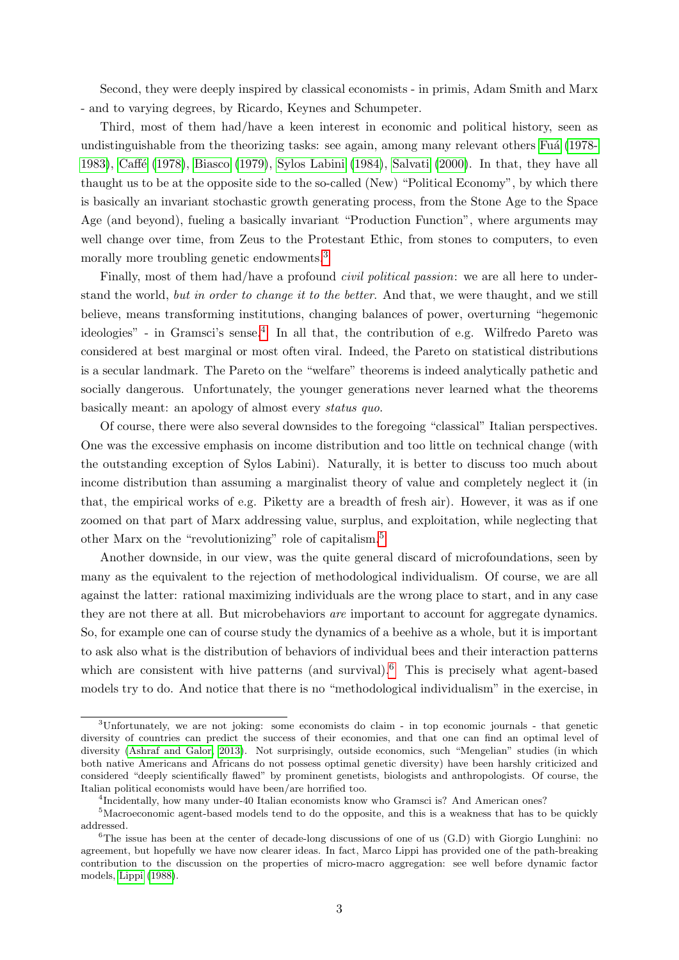Second, they were deeply inspired by classical economists - in primis, Adam Smith and Marx - and to varying degrees, by Ricardo, Keynes and Schumpeter.

Third, most of them had/have a keen interest in economic and political history, seen as undistinguishable from the theorizing tasks: see again, among many relevant others Fuá (1978-[1983\)](#page-22-4), Caffé (1978), [Biasco \(1979\)](#page-20-4), [Sylos Labini \(1984\)](#page-24-1), [Salvati \(2000\)](#page-23-6). In that, they have all thaught us to be at the opposite side to the so-called (New) "Political Economy", by which there is basically an invariant stochastic growth generating process, from the Stone Age to the Space Age (and beyond), fueling a basically invariant "Production Function", where arguments may well change over time, from Zeus to the Protestant Ethic, from stones to computers, to even morally more troubling genetic endowments.<sup>[3](#page-4-0)</sup>

Finally, most of them had/have a profound *civil political passion*: we are all here to understand the world, but in order to change it to the better. And that, we were thaught, and we still believe, means transforming institutions, changing balances of power, overturning "hegemonic ideologies" - in Gramsci's sense.<sup>[4](#page-4-1)</sup> In all that, the contribution of e.g. Wilfredo Pareto was considered at best marginal or most often viral. Indeed, the Pareto on statistical distributions is a secular landmark. The Pareto on the "welfare" theorems is indeed analytically pathetic and socially dangerous. Unfortunately, the younger generations never learned what the theorems basically meant: an apology of almost every status quo.

Of course, there were also several downsides to the foregoing "classical" Italian perspectives. One was the excessive emphasis on income distribution and too little on technical change (with the outstanding exception of Sylos Labini). Naturally, it is better to discuss too much about income distribution than assuming a marginalist theory of value and completely neglect it (in that, the empirical works of e.g. Piketty are a breadth of fresh air). However, it was as if one zoomed on that part of Marx addressing value, surplus, and exploitation, while neglecting that other Marx on the "revolutionizing" role of capitalism.<sup>[5](#page-4-2)</sup>

Another downside, in our view, was the quite general discard of microfoundations, seen by many as the equivalent to the rejection of methodological individualism. Of course, we are all against the latter: rational maximizing individuals are the wrong place to start, and in any case they are not there at all. But microbehaviors are important to account for aggregate dynamics. So, for example one can of course study the dynamics of a beehive as a whole, but it is important to ask also what is the distribution of behaviors of individual bees and their interaction patterns which are consistent with hive patterns (and survival).<sup>[6](#page-4-3)</sup> This is precisely what agent-based models try to do. And notice that there is no "methodological individualism" in the exercise, in

<span id="page-4-0"></span><sup>3</sup>Unfortunately, we are not joking: some economists do claim - in top economic journals - that genetic diversity of countries can predict the success of their economies, and that one can find an optimal level of diversity [\(Ashraf and Galor, 2013\)](#page-20-5). Not surprisingly, outside economics, such "Mengelian" studies (in which both native Americans and Africans do not possess optimal genetic diversity) have been harshly criticized and considered "deeply scientifically flawed" by prominent genetists, biologists and anthropologists. Of course, the Italian political economists would have been/are horrified too.

<span id="page-4-2"></span><span id="page-4-1"></span><sup>&</sup>lt;sup>4</sup>Incidentally, how many under-40 Italian economists know who Gramsci is? And American ones?

<sup>&</sup>lt;sup>5</sup>Macroeconomic agent-based models tend to do the opposite, and this is a weakness that has to be quickly addressed.

<span id="page-4-3"></span> $6$ The issue has been at the center of decade-long discussions of one of us  $(G.D)$  with Giorgio Lunghini: no agreement, but hopefully we have now clearer ideas. In fact, Marco Lippi has provided one of the path-breaking contribution to the discussion on the properties of micro-macro aggregation: see well before dynamic factor models, [Lippi \(1988\)](#page-22-5).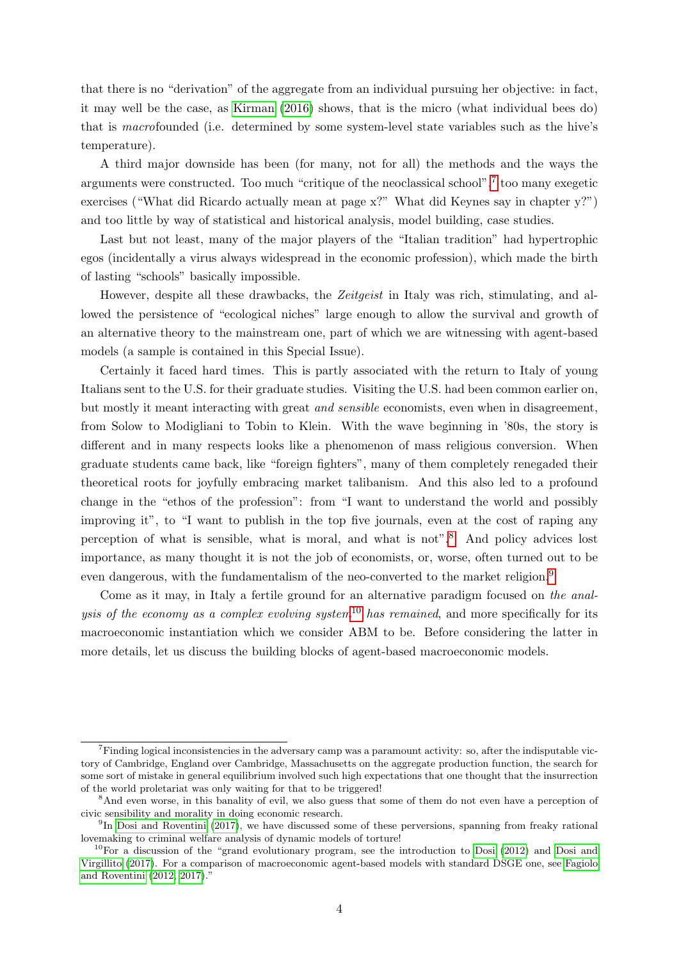that there is no "derivation" of the aggregate from an individual pursuing her objective: in fact, it may well be the case, as [Kirman \(2016\)](#page-22-6) shows, that is the micro (what individual bees do) that is macrofounded (i.e. determined by some system-level state variables such as the hive's temperature).

A third major downside has been (for many, not for all) the methods and the ways the arguments were constructed. Too much "critique of the neoclassical school",<sup>[7](#page-5-0)</sup> too many exegetic exercises ("What did Ricardo actually mean at page x?" What did Keynes say in chapter y?") and too little by way of statistical and historical analysis, model building, case studies.

Last but not least, many of the major players of the "Italian tradition" had hypertrophic egos (incidentally a virus always widespread in the economic profession), which made the birth of lasting "schools" basically impossible.

However, despite all these drawbacks, the Zeitgeist in Italy was rich, stimulating, and allowed the persistence of "ecological niches" large enough to allow the survival and growth of an alternative theory to the mainstream one, part of which we are witnessing with agent-based models (a sample is contained in this Special Issue).

Certainly it faced hard times. This is partly associated with the return to Italy of young Italians sent to the U.S. for their graduate studies. Visiting the U.S. had been common earlier on, but mostly it meant interacting with great and sensible economists, even when in disagreement, from Solow to Modigliani to Tobin to Klein. With the wave beginning in '80s, the story is different and in many respects looks like a phenomenon of mass religious conversion. When graduate students came back, like "foreign fighters", many of them completely renegaded their theoretical roots for joyfully embracing market talibanism. And this also led to a profound change in the "ethos of the profession": from "I want to understand the world and possibly improving it", to "I want to publish in the top five journals, even at the cost of raping any perception of what is sensible, what is moral, and what is not".[8](#page-5-1) And policy advices lost importance, as many thought it is not the job of economists, or, worse, often turned out to be even dangerous, with the fundamentalism of the neo-converted to the market religion.<sup>[9](#page-5-2)</sup>

Come as it may, in Italy a fertile ground for an alternative paradigm focused on the anal-ysis of the economy as a complex evolving system<sup>[10](#page-5-3)</sup> has remained, and more specifically for its macroeconomic instantiation which we consider ABM to be. Before considering the latter in more details, let us discuss the building blocks of agent-based macroeconomic models.

<span id="page-5-0"></span> ${}^{7}$ Finding logical inconsistencies in the adversary camp was a paramount activity: so, after the indisputable victory of Cambridge, England over Cambridge, Massachusetts on the aggregate production function, the search for some sort of mistake in general equilibrium involved such high expectations that one thought that the insurrection of the world proletariat was only waiting for that to be triggered!

<span id="page-5-1"></span><sup>&</sup>lt;sup>8</sup>And even worse, in this banality of evil, we also guess that some of them do not even have a perception of civic sensibility and morality in doing economic research.

<span id="page-5-2"></span><sup>&</sup>lt;sup>9</sup>In [Dosi and Roventini \(2017\)](#page-21-5), we have discussed some of these perversions, spanning from freaky rational lovemaking to criminal welfare analysis of dynamic models of torture!

<span id="page-5-3"></span><sup>10</sup>For a discussion of the "grand evolutionary program, see the introduction to [Dosi \(2012\)](#page-21-6) and [Dosi and](#page-22-7) [Virgillito \(2017\)](#page-22-7). For a comparison of macroeconomic agent-based models with standard DSGE one, see [Fagiolo](#page-22-8) [and Roventini \(2012,](#page-22-8) [2017\)](#page-22-9)."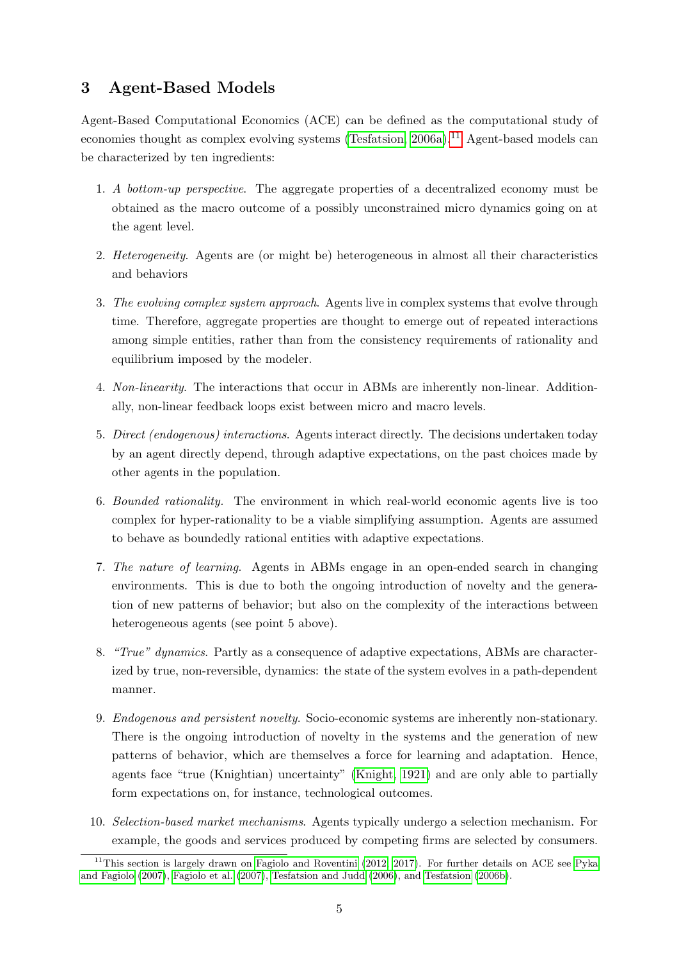# 3 Agent-Based Models

Agent-Based Computational Economics (ACE) can be defined as the computational study of economies thought as complex evolving systems [\(Tesfatsion, 2006a\)](#page-24-2).<sup>[11](#page-6-0)</sup> Agent-based models can be characterized by ten ingredients:

- 1. A bottom-up perspective. The aggregate properties of a decentralized economy must be obtained as the macro outcome of a possibly unconstrained micro dynamics going on at the agent level.
- 2. Heterogeneity. Agents are (or might be) heterogeneous in almost all their characteristics and behaviors
- 3. The evolving complex system approach. Agents live in complex systems that evolve through time. Therefore, aggregate properties are thought to emerge out of repeated interactions among simple entities, rather than from the consistency requirements of rationality and equilibrium imposed by the modeler.
- 4. Non-linearity. The interactions that occur in ABMs are inherently non-linear. Additionally, non-linear feedback loops exist between micro and macro levels.
- 5. Direct (endogenous) interactions. Agents interact directly. The decisions undertaken today by an agent directly depend, through adaptive expectations, on the past choices made by other agents in the population.
- 6. Bounded rationality. The environment in which real-world economic agents live is too complex for hyper-rationality to be a viable simplifying assumption. Agents are assumed to behave as boundedly rational entities with adaptive expectations.
- 7. The nature of learning. Agents in ABMs engage in an open-ended search in changing environments. This is due to both the ongoing introduction of novelty and the generation of new patterns of behavior; but also on the complexity of the interactions between heterogeneous agents (see point 5 above).
- 8. "True" dynamics. Partly as a consequence of adaptive expectations, ABMs are characterized by true, non-reversible, dynamics: the state of the system evolves in a path-dependent manner.
- 9. Endogenous and persistent novelty. Socio-economic systems are inherently non-stationary. There is the ongoing introduction of novelty in the systems and the generation of new patterns of behavior, which are themselves a force for learning and adaptation. Hence, agents face "true (Knightian) uncertainty" [\(Knight, 1921\)](#page-22-10) and are only able to partially form expectations on, for instance, technological outcomes.
- 10. Selection-based market mechanisms. Agents typically undergo a selection mechanism. For example, the goods and services produced by competing firms are selected by consumers.

<span id="page-6-0"></span><sup>&</sup>lt;sup>11</sup>This section is largely drawn on [Fagiolo and Roventini \(2012,](#page-22-8) [2017\)](#page-22-9). For further details on ACE see [Pyka](#page-23-7) [and Fagiolo \(2007\)](#page-23-7), [Fagiolo et al. \(2007\)](#page-22-11), [Tesfatsion and Judd \(2006\)](#page-24-3), and [Tesfatsion \(2006b\)](#page-24-4).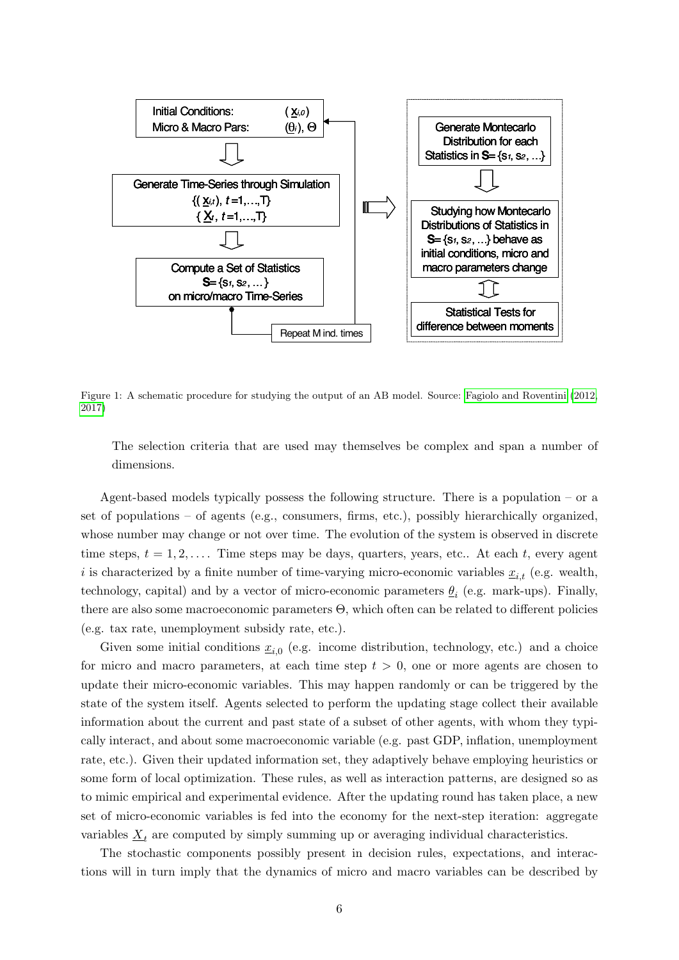<span id="page-7-0"></span>

Figure 1: A schematic procedure for studying the output of an AB model. Source: [Fagiolo and Roventini \(2012,](#page-22-8) [2017\)](#page-22-9)

The selection criteria that are used may themselves be complex and span a number of dimensions.

Agent-based models typically possess the following structure. There is a population – or a set of populations – of agents (e.g., consumers, firms, etc.), possibly hierarchically organized, whose number may change or not over time. The evolution of the system is observed in discrete time steps,  $t = 1, 2, \ldots$ . Time steps may be days, quarters, years, etc.. At each t, every agent i is characterized by a finite number of time-varying micro-economic variables  $x_{i,t}$  (e.g. wealth, technology, capital) and by a vector of micro-economic parameters  $\theta_i$  (e.g. mark-ups). Finally, there are also some macroeconomic parameters Θ, which often can be related to different policies (e.g. tax rate, unemployment subsidy rate, etc.).

Given some initial conditions  $\underline{x}_{i,0}$  (e.g. income distribution, technology, etc.) and a choice for micro and macro parameters, at each time step  $t > 0$ , one or more agents are chosen to update their micro-economic variables. This may happen randomly or can be triggered by the state of the system itself. Agents selected to perform the updating stage collect their available information about the current and past state of a subset of other agents, with whom they typically interact, and about some macroeconomic variable (e.g. past GDP, inflation, unemployment rate, etc.). Given their updated information set, they adaptively behave employing heuristics or some form of local optimization. These rules, as well as interaction patterns, are designed so as to mimic empirical and experimental evidence. After the updating round has taken place, a new set of micro-economic variables is fed into the economy for the next-step iteration: aggregate variables  $X_t$  are computed by simply summing up or averaging individual characteristics.

The stochastic components possibly present in decision rules, expectations, and interactions will in turn imply that the dynamics of micro and macro variables can be described by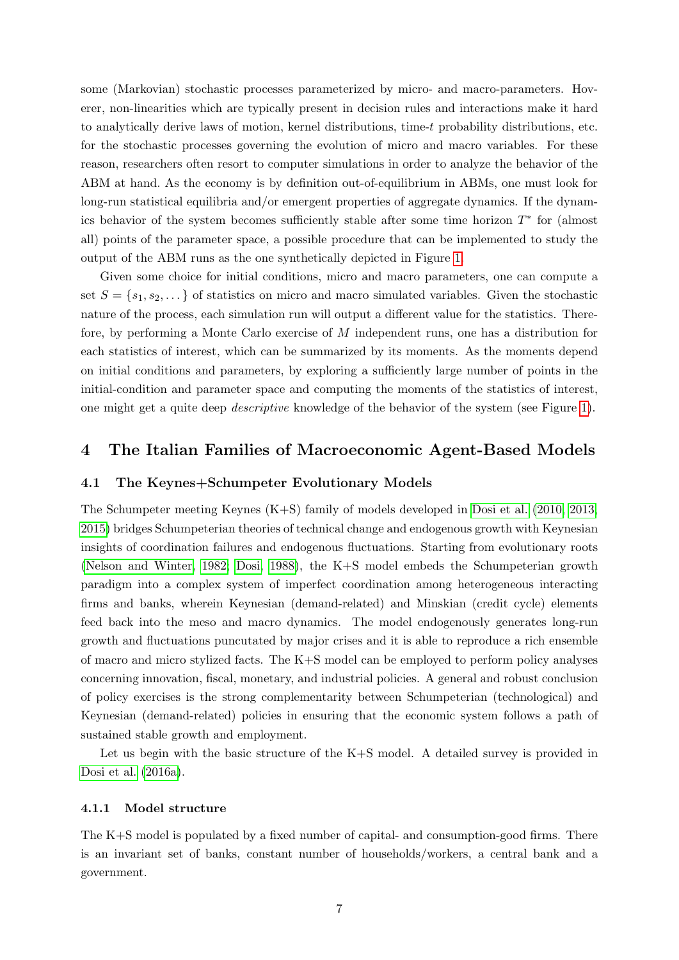some (Markovian) stochastic processes parameterized by micro- and macro-parameters. Hoverer, non-linearities which are typically present in decision rules and interactions make it hard to analytically derive laws of motion, kernel distributions, time-t probability distributions, etc. for the stochastic processes governing the evolution of micro and macro variables. For these reason, researchers often resort to computer simulations in order to analyze the behavior of the ABM at hand. As the economy is by definition out-of-equilibrium in ABMs, one must look for long-run statistical equilibria and/or emergent properties of aggregate dynamics. If the dynamics behavior of the system becomes sufficiently stable after some time horizon  $T^*$  for (almost all) points of the parameter space, a possible procedure that can be implemented to study the output of the ABM runs as the one synthetically depicted in Figure [1.](#page-7-0)

Given some choice for initial conditions, micro and macro parameters, one can compute a set  $S = \{s_1, s_2, \dots\}$  of statistics on micro and macro simulated variables. Given the stochastic nature of the process, each simulation run will output a different value for the statistics. Therefore, by performing a Monte Carlo exercise of M independent runs, one has a distribution for each statistics of interest, which can be summarized by its moments. As the moments depend on initial conditions and parameters, by exploring a sufficiently large number of points in the initial-condition and parameter space and computing the moments of the statistics of interest, one might get a quite deep descriptive knowledge of the behavior of the system (see Figure [1\)](#page-7-0).

### <span id="page-8-0"></span>4 The Italian Families of Macroeconomic Agent-Based Models

#### 4.1 The Keynes+Schumpeter Evolutionary Models

The Schumpeter meeting Keynes (K+S) family of models developed in [Dosi et al. \(2010,](#page-21-0) [2013,](#page-21-7) [2015\)](#page-21-8) bridges Schumpeterian theories of technical change and endogenous growth with Keynesian insights of coordination failures and endogenous fluctuations. Starting from evolutionary roots [\(Nelson and Winter, 1982;](#page-23-8) [Dosi, 1988\)](#page-21-9), the K+S model embeds the Schumpeterian growth paradigm into a complex system of imperfect coordination among heterogeneous interacting firms and banks, wherein Keynesian (demand-related) and Minskian (credit cycle) elements feed back into the meso and macro dynamics. The model endogenously generates long-run growth and fluctuations puncutated by major crises and it is able to reproduce a rich ensemble of macro and micro stylized facts. The K+S model can be employed to perform policy analyses concerning innovation, fiscal, monetary, and industrial policies. A general and robust conclusion of policy exercises is the strong complementarity between Schumpeterian (technological) and Keynesian (demand-related) policies in ensuring that the economic system follows a path of sustained stable growth and employment.

Let us begin with the basic structure of the K+S model. A detailed survey is provided in [Dosi et al. \(2016a\)](#page-21-1).

#### 4.1.1 Model structure

The K+S model is populated by a fixed number of capital- and consumption-good firms. There is an invariant set of banks, constant number of households/workers, a central bank and a government.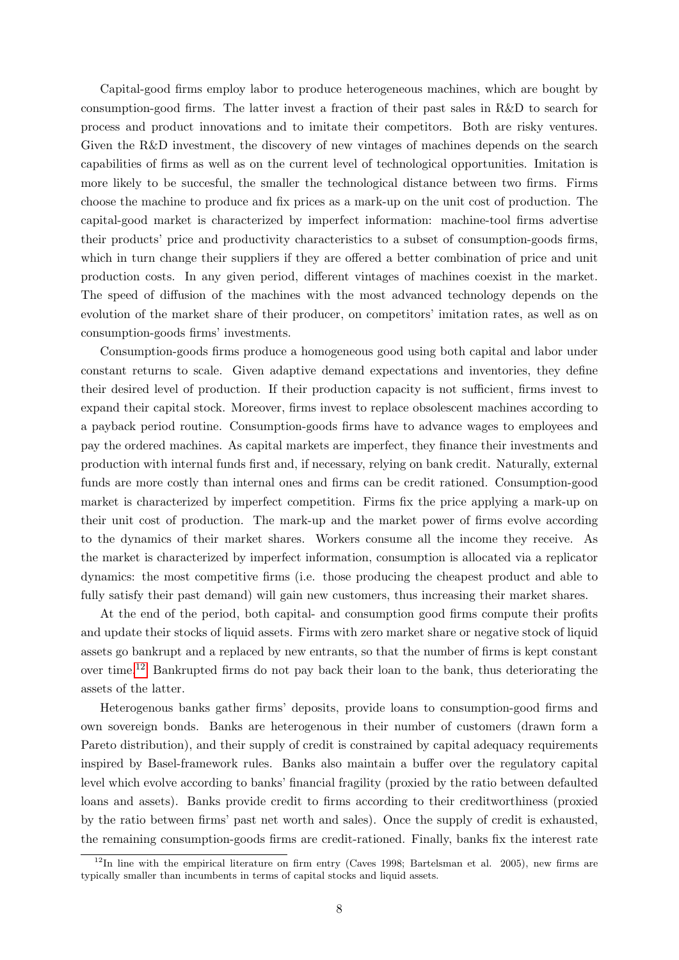Capital-good firms employ labor to produce heterogeneous machines, which are bought by consumption-good firms. The latter invest a fraction of their past sales in R&D to search for process and product innovations and to imitate their competitors. Both are risky ventures. Given the R&D investment, the discovery of new vintages of machines depends on the search capabilities of firms as well as on the current level of technological opportunities. Imitation is more likely to be succesful, the smaller the technological distance between two firms. Firms choose the machine to produce and fix prices as a mark-up on the unit cost of production. The capital-good market is characterized by imperfect information: machine-tool firms advertise their products' price and productivity characteristics to a subset of consumption-goods firms, which in turn change their suppliers if they are offered a better combination of price and unit production costs. In any given period, different vintages of machines coexist in the market. The speed of diffusion of the machines with the most advanced technology depends on the evolution of the market share of their producer, on competitors' imitation rates, as well as on consumption-goods firms' investments.

Consumption-goods firms produce a homogeneous good using both capital and labor under constant returns to scale. Given adaptive demand expectations and inventories, they define their desired level of production. If their production capacity is not sufficient, firms invest to expand their capital stock. Moreover, firms invest to replace obsolescent machines according to a payback period routine. Consumption-goods firms have to advance wages to employees and pay the ordered machines. As capital markets are imperfect, they finance their investments and production with internal funds first and, if necessary, relying on bank credit. Naturally, external funds are more costly than internal ones and firms can be credit rationed. Consumption-good market is characterized by imperfect competition. Firms fix the price applying a mark-up on their unit cost of production. The mark-up and the market power of firms evolve according to the dynamics of their market shares. Workers consume all the income they receive. As the market is characterized by imperfect information, consumption is allocated via a replicator dynamics: the most competitive firms (i.e. those producing the cheapest product and able to fully satisfy their past demand) will gain new customers, thus increasing their market shares.

At the end of the period, both capital- and consumption good firms compute their profits and update their stocks of liquid assets. Firms with zero market share or negative stock of liquid assets go bankrupt and a replaced by new entrants, so that the number of firms is kept constant over time.[12](#page-9-0) Bankrupted firms do not pay back their loan to the bank, thus deteriorating the assets of the latter.

Heterogenous banks gather firms' deposits, provide loans to consumption-good firms and own sovereign bonds. Banks are heterogenous in their number of customers (drawn form a Pareto distribution), and their supply of credit is constrained by capital adequacy requirements inspired by Basel-framework rules. Banks also maintain a buffer over the regulatory capital level which evolve according to banks' financial fragility (proxied by the ratio between defaulted loans and assets). Banks provide credit to firms according to their creditworthiness (proxied by the ratio between firms' past net worth and sales). Once the supply of credit is exhausted, the remaining consumption-goods firms are credit-rationed. Finally, banks fix the interest rate

<span id="page-9-0"></span> $12$ In line with the empirical literature on firm entry (Caves 1998; Bartelsman et al. 2005), new firms are typically smaller than incumbents in terms of capital stocks and liquid assets.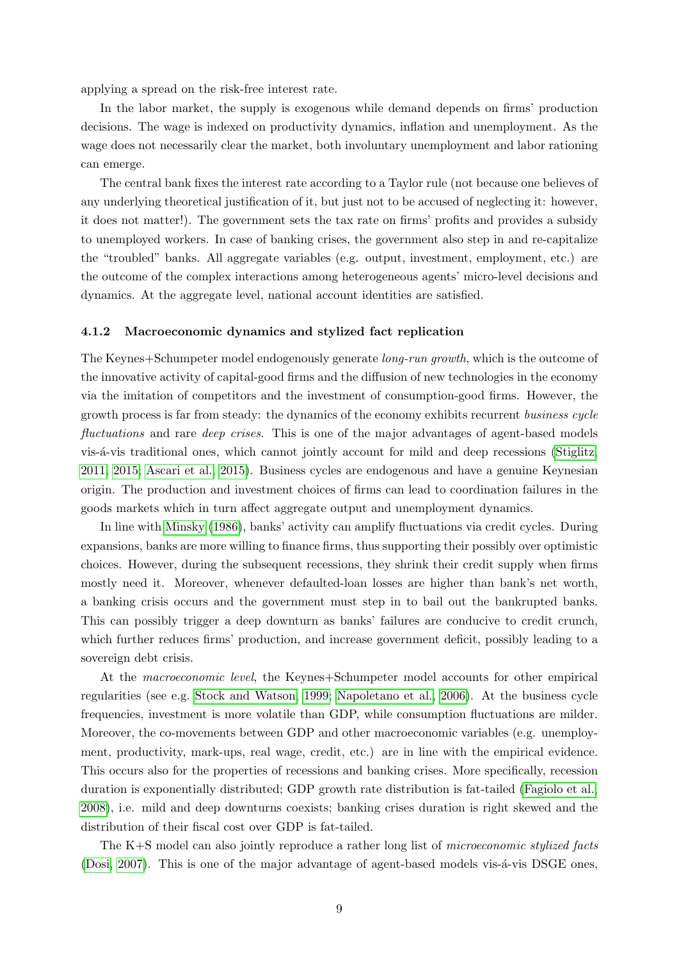applying a spread on the risk-free interest rate.

In the labor market, the supply is exogenous while demand depends on firms' production decisions. The wage is indexed on productivity dynamics, inflation and unemployment. As the wage does not necessarily clear the market, both involuntary unemployment and labor rationing can emerge.

The central bank fixes the interest rate according to a Taylor rule (not because one believes of any underlying theoretical justification of it, but just not to be accused of neglecting it: however, it does not matter!). The government sets the tax rate on firms' profits and provides a subsidy to unemployed workers. In case of banking crises, the government also step in and re-capitalize the "troubled" banks. All aggregate variables (e.g. output, investment, employment, etc.) are the outcome of the complex interactions among heterogeneous agents' micro-level decisions and dynamics. At the aggregate level, national account identities are satisfied.

#### 4.1.2 Macroeconomic dynamics and stylized fact replication

The Keynes+Schumpeter model endogenously generate long-run growth, which is the outcome of the innovative activity of capital-good firms and the diffusion of new technologies in the economy via the imitation of competitors and the investment of consumption-good firms. However, the growth process is far from steady: the dynamics of the economy exhibits recurrent business cycle fluctuations and rare *deep crises*. This is one of the major advantages of agent-based models vis- $\acute{a}$ -vis traditional ones, which cannot jointly account for mild and deep recessions [\(Stiglitz,](#page-23-9) [2011,](#page-23-9) [2015;](#page-23-10) [Ascari et al., 2015\)](#page-20-6). Business cycles are endogenous and have a genuine Keynesian origin. The production and investment choices of firms can lead to coordination failures in the goods markets which in turn affect aggregate output and unemployment dynamics.

In line with [Minsky \(1986\)](#page-22-12), banks' activity can amplify fluctuations via credit cycles. During expansions, banks are more willing to finance firms, thus supporting their possibly over optimistic choices. However, during the subsequent recessions, they shrink their credit supply when firms mostly need it. Moreover, whenever defaulted-loan losses are higher than bank's net worth, a banking crisis occurs and the government must step in to bail out the bankrupted banks. This can possibly trigger a deep downturn as banks' failures are conducive to credit crunch, which further reduces firms' production, and increase government deficit, possibly leading to a sovereign debt crisis.

At the macroeconomic level, the Keynes+Schumpeter model accounts for other empirical regularities (see e.g. [Stock and Watson, 1999;](#page-24-5) [Napoletano et al., 2006\)](#page-23-11). At the business cycle frequencies, investment is more volatile than GDP, while consumption fluctuations are milder. Moreover, the co-movements between GDP and other macroeconomic variables (e.g. unemployment, productivity, mark-ups, real wage, credit, etc.) are in line with the empirical evidence. This occurs also for the properties of recessions and banking crises. More specifically, recession duration is exponentially distributed; GDP growth rate distribution is fat-tailed [\(Fagiolo et al.,](#page-22-13) [2008\)](#page-22-13), i.e. mild and deep downturns coexists; banking crises duration is right skewed and the distribution of their fiscal cost over GDP is fat-tailed.

The K+S model can also jointly reproduce a rather long list of microeconomic stylized facts [\(Dosi, 2007\)](#page-21-10). This is one of the major advantage of agent-based models vis- $\acute{a}$ -vis DSGE ones,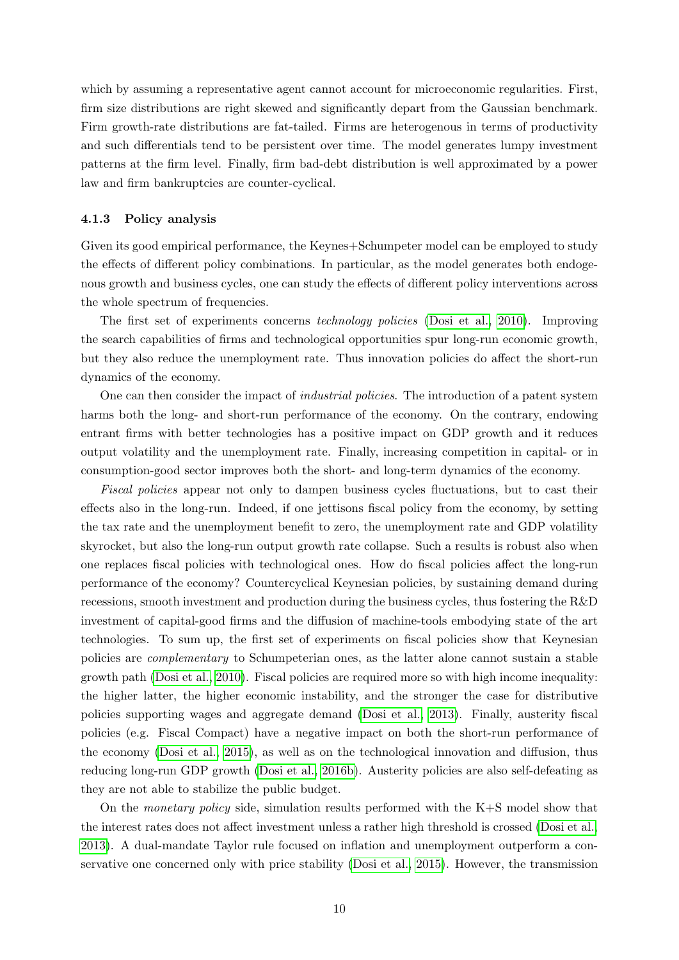which by assuming a representative agent cannot account for microeconomic regularities. First, firm size distributions are right skewed and significantly depart from the Gaussian benchmark. Firm growth-rate distributions are fat-tailed. Firms are heterogenous in terms of productivity and such differentials tend to be persistent over time. The model generates lumpy investment patterns at the firm level. Finally, firm bad-debt distribution is well approximated by a power law and firm bankruptcies are counter-cyclical.

#### 4.1.3 Policy analysis

Given its good empirical performance, the Keynes+Schumpeter model can be employed to study the effects of different policy combinations. In particular, as the model generates both endogenous growth and business cycles, one can study the effects of different policy interventions across the whole spectrum of frequencies.

The first set of experiments concerns technology policies [\(Dosi et al., 2010\)](#page-21-0). Improving the search capabilities of firms and technological opportunities spur long-run economic growth, but they also reduce the unemployment rate. Thus innovation policies do affect the short-run dynamics of the economy.

One can then consider the impact of industrial policies. The introduction of a patent system harms both the long- and short-run performance of the economy. On the contrary, endowing entrant firms with better technologies has a positive impact on GDP growth and it reduces output volatility and the unemployment rate. Finally, increasing competition in capital- or in consumption-good sector improves both the short- and long-term dynamics of the economy.

Fiscal policies appear not only to dampen business cycles fluctuations, but to cast their effects also in the long-run. Indeed, if one jettisons fiscal policy from the economy, by setting the tax rate and the unemployment benefit to zero, the unemployment rate and GDP volatility skyrocket, but also the long-run output growth rate collapse. Such a results is robust also when one replaces fiscal policies with technological ones. How do fiscal policies affect the long-run performance of the economy? Countercyclical Keynesian policies, by sustaining demand during recessions, smooth investment and production during the business cycles, thus fostering the R&D investment of capital-good firms and the diffusion of machine-tools embodying state of the art technologies. To sum up, the first set of experiments on fiscal policies show that Keynesian policies are complementary to Schumpeterian ones, as the latter alone cannot sustain a stable growth path [\(Dosi et al., 2010\)](#page-21-0). Fiscal policies are required more so with high income inequality: the higher latter, the higher economic instability, and the stronger the case for distributive policies supporting wages and aggregate demand [\(Dosi et al., 2013\)](#page-21-7). Finally, austerity fiscal policies (e.g. Fiscal Compact) have a negative impact on both the short-run performance of the economy [\(Dosi et al., 2015\)](#page-21-8), as well as on the technological innovation and diffusion, thus reducing long-run GDP growth [\(Dosi et al., 2016b\)](#page-21-11). Austerity policies are also self-defeating as they are not able to stabilize the public budget.

On the *monetary policy* side, simulation results performed with the  $K+S$  model show that the interest rates does not affect investment unless a rather high threshold is crossed [\(Dosi et al.,](#page-21-7) [2013\)](#page-21-7). A dual-mandate Taylor rule focused on inflation and unemployment outperform a conservative one concerned only with price stability [\(Dosi et al., 2015\)](#page-21-8). However, the transmission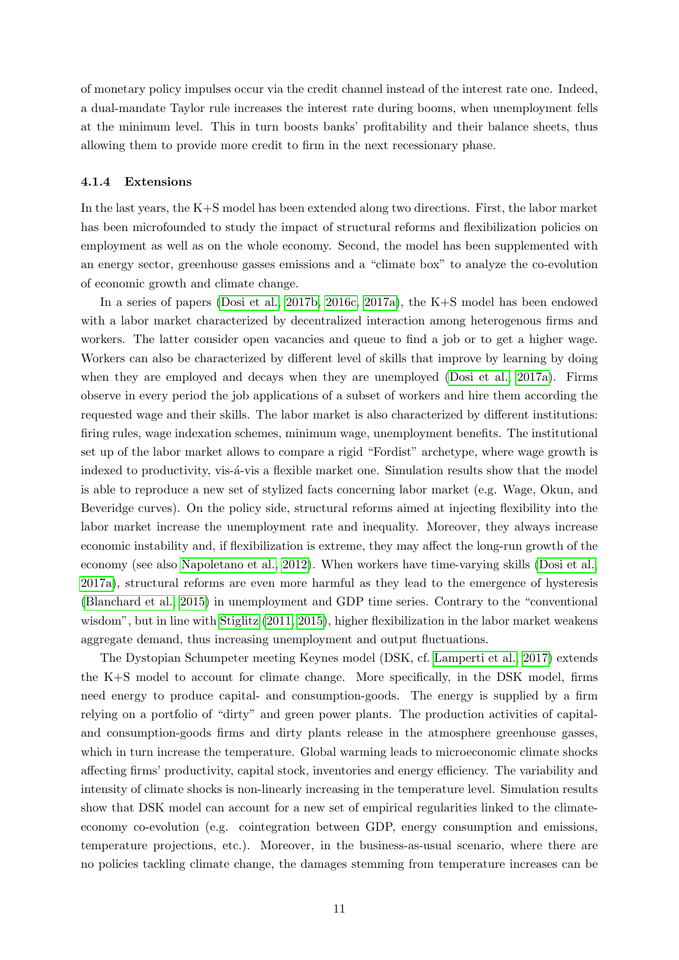of monetary policy impulses occur via the credit channel instead of the interest rate one. Indeed, a dual-mandate Taylor rule increases the interest rate during booms, when unemployment fells at the minimum level. This in turn boosts banks' profitability and their balance sheets, thus allowing them to provide more credit to firm in the next recessionary phase.

#### 4.1.4 Extensions

In the last years, the K+S model has been extended along two directions. First, the labor market has been microfounded to study the impact of structural reforms and flexibilization policies on employment as well as on the whole economy. Second, the model has been supplemented with an energy sector, greenhouse gasses emissions and a "climate box" to analyze the co-evolution of economic growth and climate change.

In a series of papers [\(Dosi et al., 2017b,](#page-21-12) [2016c,](#page-21-13) [2017a\)](#page-21-14), the K+S model has been endowed with a labor market characterized by decentralized interaction among heterogenous firms and workers. The latter consider open vacancies and queue to find a job or to get a higher wage. Workers can also be characterized by different level of skills that improve by learning by doing when they are employed and decays when they are unemployed [\(Dosi et al., 2017a\)](#page-21-14). Firms observe in every period the job applications of a subset of workers and hire them according the requested wage and their skills. The labor market is also characterized by different institutions: firing rules, wage indexation schemes, minimum wage, unemployment benefits. The institutional set up of the labor market allows to compare a rigid "Fordist" archetype, where wage growth is indexed to productivity, vis- $\acute{a}$ -vis a flexible market one. Simulation results show that the model is able to reproduce a new set of stylized facts concerning labor market (e.g. Wage, Okun, and Beveridge curves). On the policy side, structural reforms aimed at injecting flexibility into the labor market increase the unemployment rate and inequality. Moreover, they always increase economic instability and, if flexibilization is extreme, they may affect the long-run growth of the economy (see also [Napoletano et al., 2012\)](#page-22-14). When workers have time-varying skills [\(Dosi et al.,](#page-21-14) [2017a\)](#page-21-14), structural reforms are even more harmful as they lead to the emergence of hysteresis [\(Blanchard et al., 2015\)](#page-20-7) in unemployment and GDP time series. Contrary to the "conventional wisdom", but in line with [Stiglitz \(2011,](#page-23-9) [2015\)](#page-23-10), higher flexibilization in the labor market weakens aggregate demand, thus increasing unemployment and output fluctuations.

The Dystopian Schumpeter meeting Keynes model (DSK, cf. [Lamperti et al., 2017\)](#page-22-15) extends the K+S model to account for climate change. More specifically, in the DSK model, firms need energy to produce capital- and consumption-goods. The energy is supplied by a firm relying on a portfolio of "dirty" and green power plants. The production activities of capitaland consumption-goods firms and dirty plants release in the atmosphere greenhouse gasses, which in turn increase the temperature. Global warming leads to microeconomic climate shocks affecting firms' productivity, capital stock, inventories and energy efficiency. The variability and intensity of climate shocks is non-linearly increasing in the temperature level. Simulation results show that DSK model can account for a new set of empirical regularities linked to the climateeconomy co-evolution (e.g. cointegration between GDP, energy consumption and emissions, temperature projections, etc.). Moreover, in the business-as-usual scenario, where there are no policies tackling climate change, the damages stemming from temperature increases can be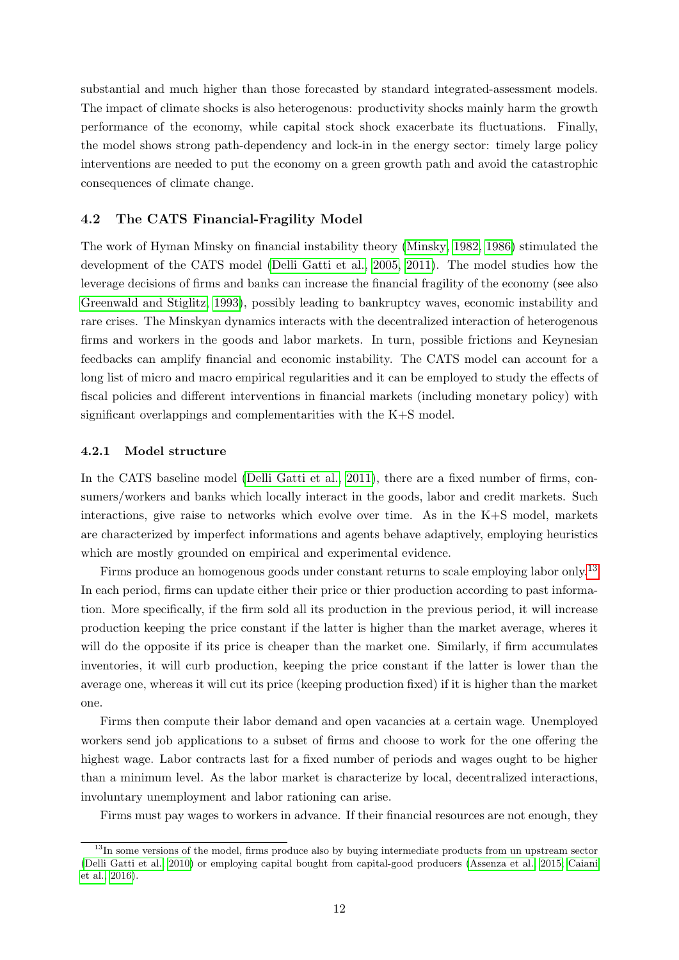substantial and much higher than those forecasted by standard integrated-assessment models. The impact of climate shocks is also heterogenous: productivity shocks mainly harm the growth performance of the economy, while capital stock shock exacerbate its fluctuations. Finally, the model shows strong path-dependency and lock-in in the energy sector: timely large policy interventions are needed to put the economy on a green growth path and avoid the catastrophic consequences of climate change.

#### 4.2 The CATS Financial-Fragility Model

The work of Hyman Minsky on financial instability theory [\(Minsky, 1982,](#page-22-16) [1986\)](#page-22-12) stimulated the development of the CATS model [\(Delli Gatti et al., 2005,](#page-21-2) [2011\)](#page-21-3). The model studies how the leverage decisions of firms and banks can increase the financial fragility of the economy (see also [Greenwald and Stiglitz, 1993\)](#page-22-17), possibly leading to bankruptcy waves, economic instability and rare crises. The Minskyan dynamics interacts with the decentralized interaction of heterogenous firms and workers in the goods and labor markets. In turn, possible frictions and Keynesian feedbacks can amplify financial and economic instability. The CATS model can account for a long list of micro and macro empirical regularities and it can be employed to study the effects of fiscal policies and different interventions in financial markets (including monetary policy) with significant overlappings and complementarities with the K+S model.

#### 4.2.1 Model structure

In the CATS baseline model [\(Delli Gatti et al., 2011\)](#page-21-3), there are a fixed number of firms, consumers/workers and banks which locally interact in the goods, labor and credit markets. Such interactions, give raise to networks which evolve over time. As in the K+S model, markets are characterized by imperfect informations and agents behave adaptively, employing heuristics which are mostly grounded on empirical and experimental evidence.

Firms produce an homogenous goods under constant returns to scale employing labor only.<sup>[13](#page-13-0)</sup> In each period, firms can update either their price or thier production according to past information. More specifically, if the firm sold all its production in the previous period, it will increase production keeping the price constant if the latter is higher than the market average, wheres it will do the opposite if its price is cheaper than the market one. Similarly, if firm accumulates inventories, it will curb production, keeping the price constant if the latter is lower than the average one, whereas it will cut its price (keeping production fixed) if it is higher than the market one.

Firms then compute their labor demand and open vacancies at a certain wage. Unemployed workers send job applications to a subset of firms and choose to work for the one offering the highest wage. Labor contracts last for a fixed number of periods and wages ought to be higher than a minimum level. As the labor market is characterize by local, decentralized interactions, involuntary unemployment and labor rationing can arise.

Firms must pay wages to workers in advance. If their financial resources are not enough, they

<span id="page-13-0"></span><sup>&</sup>lt;sup>13</sup>In some versions of the model, firms produce also by buying intermediate products from un upstream sector [\(Delli Gatti et al., 2010\)](#page-21-15) or employing capital bought from capital-good producers [\(Assenza et al., 2015;](#page-20-8) [Caiani](#page-20-9) [et al., 2016\)](#page-20-9).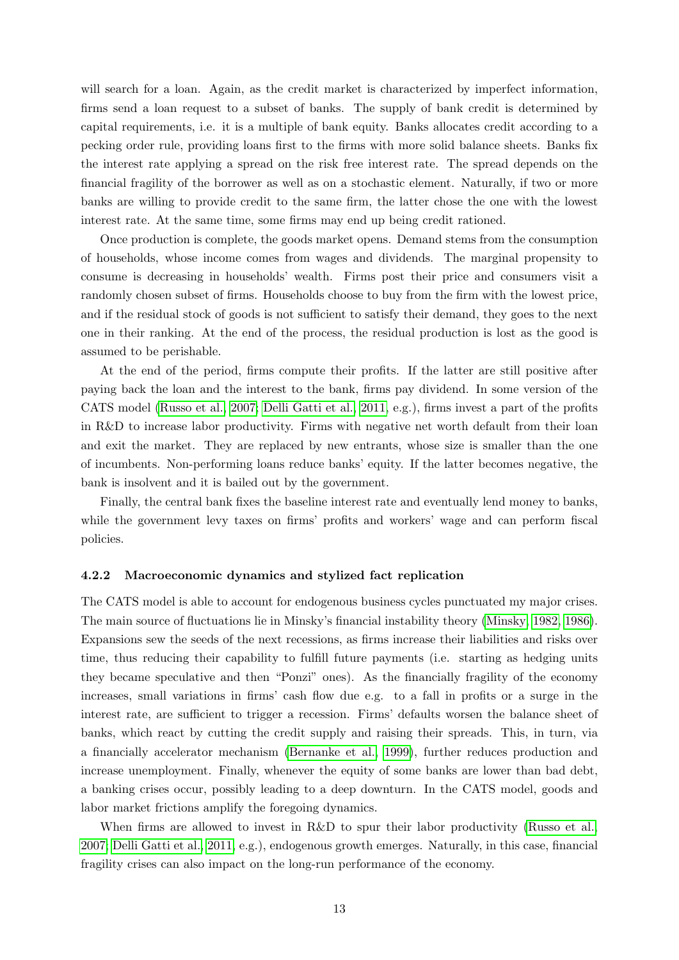will search for a loan. Again, as the credit market is characterized by imperfect information, firms send a loan request to a subset of banks. The supply of bank credit is determined by capital requirements, i.e. it is a multiple of bank equity. Banks allocates credit according to a pecking order rule, providing loans first to the firms with more solid balance sheets. Banks fix the interest rate applying a spread on the risk free interest rate. The spread depends on the financial fragility of the borrower as well as on a stochastic element. Naturally, if two or more banks are willing to provide credit to the same firm, the latter chose the one with the lowest interest rate. At the same time, some firms may end up being credit rationed.

Once production is complete, the goods market opens. Demand stems from the consumption of households, whose income comes from wages and dividends. The marginal propensity to consume is decreasing in households' wealth. Firms post their price and consumers visit a randomly chosen subset of firms. Households choose to buy from the firm with the lowest price, and if the residual stock of goods is not sufficient to satisfy their demand, they goes to the next one in their ranking. At the end of the process, the residual production is lost as the good is assumed to be perishable.

At the end of the period, firms compute their profits. If the latter are still positive after paying back the loan and the interest to the bank, firms pay dividend. In some version of the CATS model [\(Russo et al., 2007;](#page-23-12) [Delli Gatti et al., 2011,](#page-21-3) e.g.), firms invest a part of the profits in R&D to increase labor productivity. Firms with negative net worth default from their loan and exit the market. They are replaced by new entrants, whose size is smaller than the one of incumbents. Non-performing loans reduce banks' equity. If the latter becomes negative, the bank is insolvent and it is bailed out by the government.

Finally, the central bank fixes the baseline interest rate and eventually lend money to banks, while the government levy taxes on firms' profits and workers' wage and can perform fiscal policies.

#### 4.2.2 Macroeconomic dynamics and stylized fact replication

The CATS model is able to account for endogenous business cycles punctuated my major crises. The main source of fluctuations lie in Minsky's financial instability theory [\(Minsky, 1982,](#page-22-16) [1986\)](#page-22-12). Expansions sew the seeds of the next recessions, as firms increase their liabilities and risks over time, thus reducing their capability to fulfill future payments (i.e. starting as hedging units they became speculative and then "Ponzi" ones). As the financially fragility of the economy increases, small variations in firms' cash flow due e.g. to a fall in profits or a surge in the interest rate, are sufficient to trigger a recession. Firms' defaults worsen the balance sheet of banks, which react by cutting the credit supply and raising their spreads. This, in turn, via a financially accelerator mechanism [\(Bernanke et al., 1999\)](#page-20-10), further reduces production and increase unemployment. Finally, whenever the equity of some banks are lower than bad debt, a banking crises occur, possibly leading to a deep downturn. In the CATS model, goods and labor market frictions amplify the foregoing dynamics.

When firms are allowed to invest in R&D to spur their labor productivity [\(Russo et al.,](#page-23-12) [2007;](#page-23-12) [Delli Gatti et al., 2011,](#page-21-3) e.g.), endogenous growth emerges. Naturally, in this case, financial fragility crises can also impact on the long-run performance of the economy.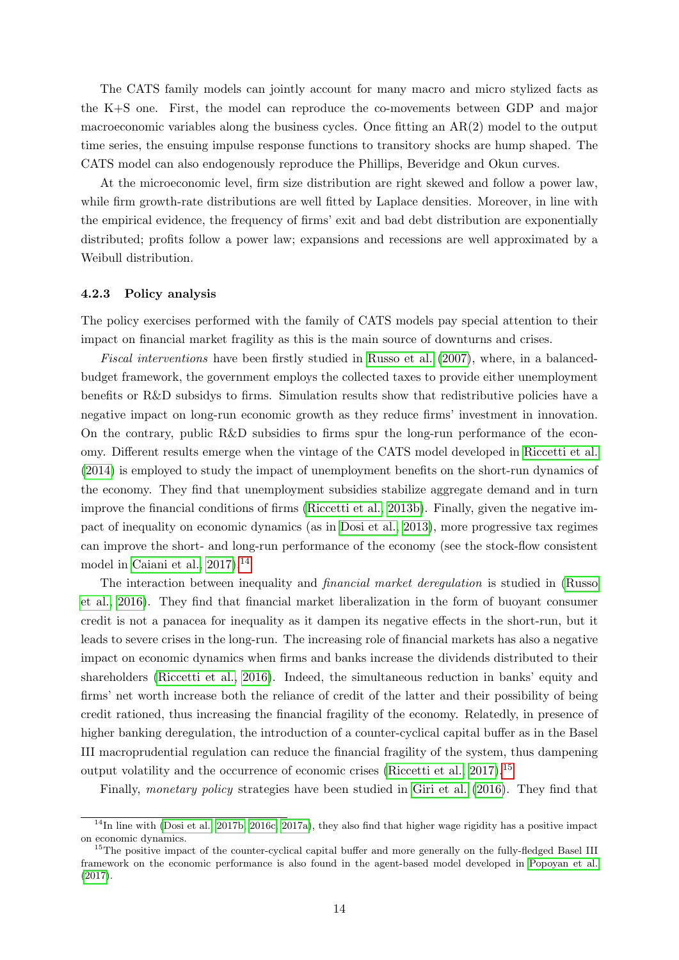The CATS family models can jointly account for many macro and micro stylized facts as the K+S one. First, the model can reproduce the co-movements between GDP and major macroeconomic variables along the business cycles. Once fitting an AR(2) model to the output time series, the ensuing impulse response functions to transitory shocks are hump shaped. The CATS model can also endogenously reproduce the Phillips, Beveridge and Okun curves.

At the microeconomic level, firm size distribution are right skewed and follow a power law, while firm growth-rate distributions are well fitted by Laplace densities. Moreover, in line with the empirical evidence, the frequency of firms' exit and bad debt distribution are exponentially distributed; profits follow a power law; expansions and recessions are well approximated by a Weibull distribution.

#### 4.2.3 Policy analysis

The policy exercises performed with the family of CATS models pay special attention to their impact on financial market fragility as this is the main source of downturns and crises.

Fiscal interventions have been firstly studied in [Russo et al. \(2007\)](#page-23-12), where, in a balancedbudget framework, the government employs the collected taxes to provide either unemployment benefits or R&D subsidys to firms. Simulation results show that redistributive policies have a negative impact on long-run economic growth as they reduce firms' investment in innovation. On the contrary, public R&D subsidies to firms spur the long-run performance of the economy. Different results emerge when the vintage of the CATS model developed in [Riccetti et al.](#page-23-13) [\(2014\)](#page-23-13) is employed to study the impact of unemployment benefits on the short-run dynamics of the economy. They find that unemployment subsidies stabilize aggregate demand and in turn improve the financial conditions of firms [\(Riccetti et al., 2013b\)](#page-23-14). Finally, given the negative impact of inequality on economic dynamics (as in [Dosi et al., 2013\)](#page-21-7), more progressive tax regimes can improve the short- and long-run performance of the economy (see the stock-flow consistent model in [Caiani et al., 2017\)](#page-21-16).<sup>[14](#page-15-0)</sup>

The interaction between inequality and financial market deregulation is studied in [\(Russo](#page-23-15) [et al., 2016\)](#page-23-15). They find that financial market liberalization in the form of buoyant consumer credit is not a panacea for inequality as it dampen its negative effects in the short-run, but it leads to severe crises in the long-run. The increasing role of financial markets has also a negative impact on economic dynamics when firms and banks increase the dividends distributed to their shareholders [\(Riccetti et al., 2016\)](#page-23-16). Indeed, the simultaneous reduction in banks' equity and firms' net worth increase both the reliance of credit of the latter and their possibility of being credit rationed, thus increasing the financial fragility of the economy. Relatedly, in presence of higher banking deregulation, the introduction of a counter-cyclical capital buffer as in the Basel III macroprudential regulation can reduce the financial fragility of the system, thus dampening output volatility and the occurrence of economic crises [\(Riccetti et al., 2017\)](#page-23-17).[15](#page-15-1)

Finally, *monetary policy* strategies have been studied in [Giri et al. \(2016\)](#page-22-18). They find that

<span id="page-15-0"></span><sup>&</sup>lt;sup>14</sup>In line with [\(Dosi et al., 2017b,](#page-21-12) [2016c,](#page-21-13) [2017a\)](#page-21-14), they also find that higher wage rigidity has a positive impact on economic dynamics.

<span id="page-15-1"></span><sup>&</sup>lt;sup>15</sup>The positive impact of the counter-cyclical capital buffer and more generally on the fully-fledged Basel III framework on the economic performance is also found in the agent-based model developed in [Popoyan et al.](#page-23-18) [\(2017\)](#page-23-18).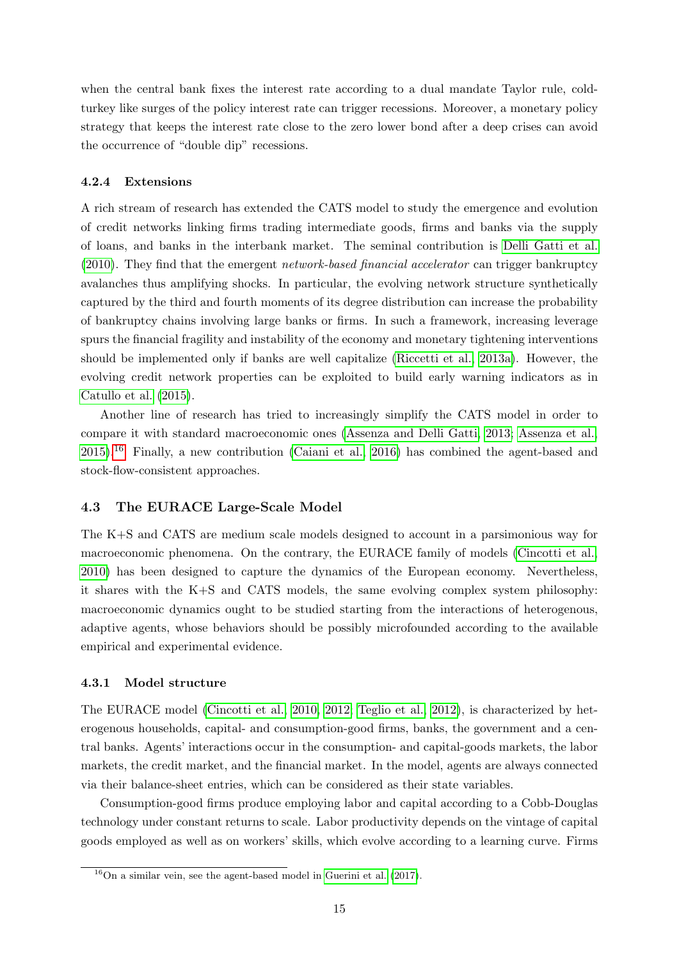when the central bank fixes the interest rate according to a dual mandate Taylor rule, coldturkey like surges of the policy interest rate can trigger recessions. Moreover, a monetary policy strategy that keeps the interest rate close to the zero lower bond after a deep crises can avoid the occurrence of "double dip" recessions.

#### 4.2.4 Extensions

A rich stream of research has extended the CATS model to study the emergence and evolution of credit networks linking firms trading intermediate goods, firms and banks via the supply of loans, and banks in the interbank market. The seminal contribution is [Delli Gatti et al.](#page-21-15)  $(2010)$ . They find that the emergent *network-based financial accelerator* can trigger bankruptcy avalanches thus amplifying shocks. In particular, the evolving network structure synthetically captured by the third and fourth moments of its degree distribution can increase the probability of bankruptcy chains involving large banks or firms. In such a framework, increasing leverage spurs the financial fragility and instability of the economy and monetary tightening interventions should be implemented only if banks are well capitalize [\(Riccetti et al., 2013a\)](#page-23-19). However, the evolving credit network properties can be exploited to build early warning indicators as in [Catullo et al. \(2015\)](#page-21-17).

Another line of research has tried to increasingly simplify the CATS model in order to compare it with standard macroeconomic ones [\(Assenza and Delli Gatti, 2013;](#page-20-11) [Assenza et al.,](#page-20-8)  $2015$ .<sup>[16](#page-16-0)</sup> Finally, a new contribution [\(Caiani et al., 2016\)](#page-20-9) has combined the agent-based and stock-flow-consistent approaches.

#### 4.3 The EURACE Large-Scale Model

The K+S and CATS are medium scale models designed to account in a parsimonious way for macroeconomic phenomena. On the contrary, the EURACE family of models [\(Cincotti et al.,](#page-21-4) [2010\)](#page-21-4) has been designed to capture the dynamics of the European economy. Nevertheless, it shares with the K+S and CATS models, the same evolving complex system philosophy: macroeconomic dynamics ought to be studied starting from the interactions of heterogenous, adaptive agents, whose behaviors should be possibly microfounded according to the available empirical and experimental evidence.

#### 4.3.1 Model structure

The EURACE model [\(Cincotti et al., 2010,](#page-21-4) [2012;](#page-21-18) [Teglio et al., 2012\)](#page-24-0), is characterized by heterogenous households, capital- and consumption-good firms, banks, the government and a central banks. Agents' interactions occur in the consumption- and capital-goods markets, the labor markets, the credit market, and the financial market. In the model, agents are always connected via their balance-sheet entries, which can be considered as their state variables.

Consumption-good firms produce employing labor and capital according to a Cobb-Douglas technology under constant returns to scale. Labor productivity depends on the vintage of capital goods employed as well as on workers' skills, which evolve according to a learning curve. Firms

<span id="page-16-0"></span> $16$ On a similar vein, see the agent-based model in [Guerini et al. \(2017\)](#page-22-19).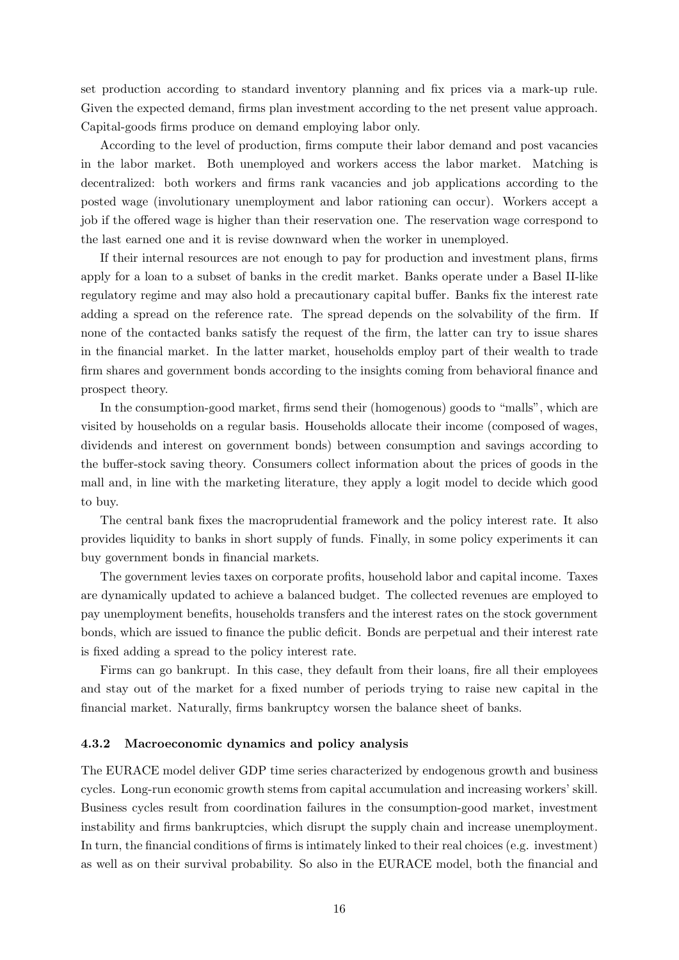set production according to standard inventory planning and fix prices via a mark-up rule. Given the expected demand, firms plan investment according to the net present value approach. Capital-goods firms produce on demand employing labor only.

According to the level of production, firms compute their labor demand and post vacancies in the labor market. Both unemployed and workers access the labor market. Matching is decentralized: both workers and firms rank vacancies and job applications according to the posted wage (involutionary unemployment and labor rationing can occur). Workers accept a job if the offered wage is higher than their reservation one. The reservation wage correspond to the last earned one and it is revise downward when the worker in unemployed.

If their internal resources are not enough to pay for production and investment plans, firms apply for a loan to a subset of banks in the credit market. Banks operate under a Basel II-like regulatory regime and may also hold a precautionary capital buffer. Banks fix the interest rate adding a spread on the reference rate. The spread depends on the solvability of the firm. If none of the contacted banks satisfy the request of the firm, the latter can try to issue shares in the financial market. In the latter market, households employ part of their wealth to trade firm shares and government bonds according to the insights coming from behavioral finance and prospect theory.

In the consumption-good market, firms send their (homogenous) goods to "malls", which are visited by households on a regular basis. Households allocate their income (composed of wages, dividends and interest on government bonds) between consumption and savings according to the buffer-stock saving theory. Consumers collect information about the prices of goods in the mall and, in line with the marketing literature, they apply a logit model to decide which good to buy.

The central bank fixes the macroprudential framework and the policy interest rate. It also provides liquidity to banks in short supply of funds. Finally, in some policy experiments it can buy government bonds in financial markets.

The government levies taxes on corporate profits, household labor and capital income. Taxes are dynamically updated to achieve a balanced budget. The collected revenues are employed to pay unemployment benefits, households transfers and the interest rates on the stock government bonds, which are issued to finance the public deficit. Bonds are perpetual and their interest rate is fixed adding a spread to the policy interest rate.

Firms can go bankrupt. In this case, they default from their loans, fire all their employees and stay out of the market for a fixed number of periods trying to raise new capital in the financial market. Naturally, firms bankruptcy worsen the balance sheet of banks.

#### 4.3.2 Macroeconomic dynamics and policy analysis

The EURACE model deliver GDP time series characterized by endogenous growth and business cycles. Long-run economic growth stems from capital accumulation and increasing workers' skill. Business cycles result from coordination failures in the consumption-good market, investment instability and firms bankruptcies, which disrupt the supply chain and increase unemployment. In turn, the financial conditions of firms is intimately linked to their real choices (e.g. investment) as well as on their survival probability. So also in the EURACE model, both the financial and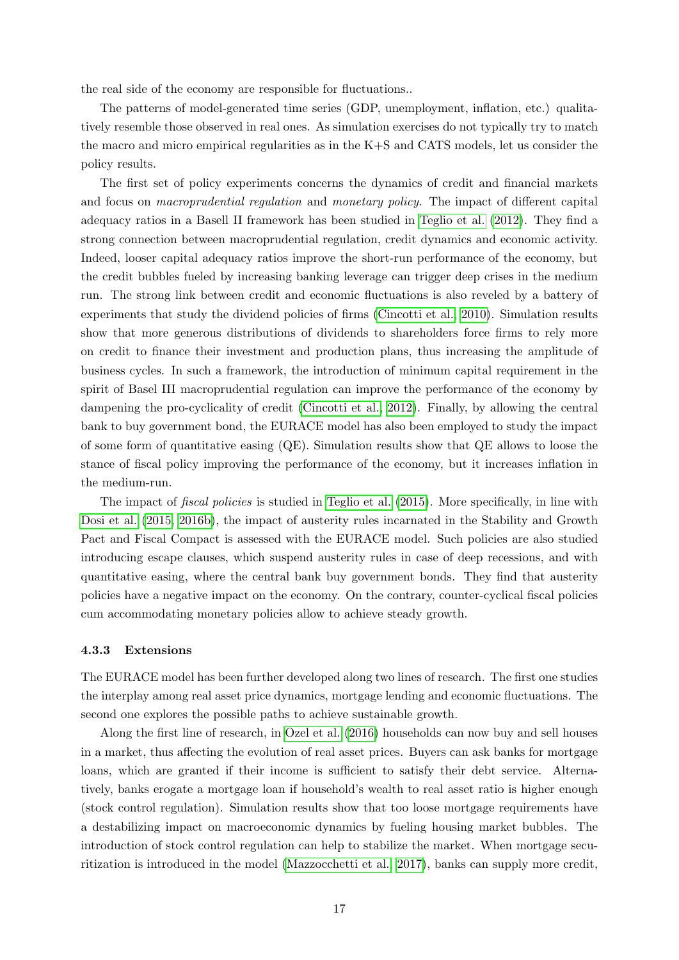the real side of the economy are responsible for fluctuations..

The patterns of model-generated time series (GDP, unemployment, inflation, etc.) qualitatively resemble those observed in real ones. As simulation exercises do not typically try to match the macro and micro empirical regularities as in the K+S and CATS models, let us consider the policy results.

The first set of policy experiments concerns the dynamics of credit and financial markets and focus on macroprudential regulation and monetary policy. The impact of different capital adequacy ratios in a Basell II framework has been studied in [Teglio et al.](#page-24-0) [\(2012\)](#page-24-0). They find a strong connection between macroprudential regulation, credit dynamics and economic activity. Indeed, looser capital adequacy ratios improve the short-run performance of the economy, but the credit bubbles fueled by increasing banking leverage can trigger deep crises in the medium run. The strong link between credit and economic fluctuations is also reveled by a battery of experiments that study the dividend policies of firms [\(Cincotti et al., 2010\)](#page-21-4). Simulation results show that more generous distributions of dividends to shareholders force firms to rely more on credit to finance their investment and production plans, thus increasing the amplitude of business cycles. In such a framework, the introduction of minimum capital requirement in the spirit of Basel III macroprudential regulation can improve the performance of the economy by dampening the pro-cyclicality of credit [\(Cincotti et al., 2012\)](#page-21-18). Finally, by allowing the central bank to buy government bond, the EURACE model has also been employed to study the impact of some form of quantitative easing (QE). Simulation results show that QE allows to loose the stance of fiscal policy improving the performance of the economy, but it increases inflation in the medium-run.

The impact of *fiscal policies* is studied in [Teglio et al. \(2015\)](#page-24-6). More specifically, in line with [Dosi et al. \(2015,](#page-21-8) [2016b\)](#page-21-11), the impact of austerity rules incarnated in the Stability and Growth Pact and Fiscal Compact is assessed with the EURACE model. Such policies are also studied introducing escape clauses, which suspend austerity rules in case of deep recessions, and with quantitative easing, where the central bank buy government bonds. They find that austerity policies have a negative impact on the economy. On the contrary, counter-cyclical fiscal policies cum accommodating monetary policies allow to achieve steady growth.

#### 4.3.3 Extensions

The EURACE model has been further developed along two lines of research. The first one studies the interplay among real asset price dynamics, mortgage lending and economic fluctuations. The second one explores the possible paths to achieve sustainable growth.

Along the first line of research, in [Ozel et al. \(2016\)](#page-23-20) households can now buy and sell houses in a market, thus affecting the evolution of real asset prices. Buyers can ask banks for mortgage loans, which are granted if their income is sufficient to satisfy their debt service. Alternatively, banks erogate a mortgage loan if household's wealth to real asset ratio is higher enough (stock control regulation). Simulation results show that too loose mortgage requirements have a destabilizing impact on macroeconomic dynamics by fueling housing market bubbles. The introduction of stock control regulation can help to stabilize the market. When mortgage securitization is introduced in the model [\(Mazzocchetti et al., 2017\)](#page-22-20), banks can supply more credit,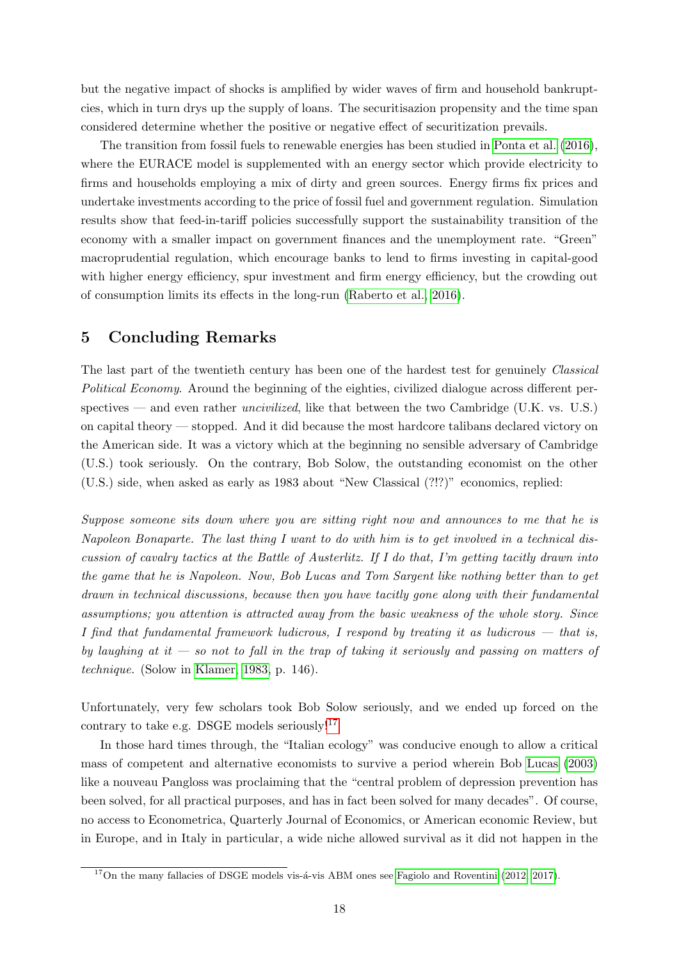but the negative impact of shocks is amplified by wider waves of firm and household bankruptcies, which in turn drys up the supply of loans. The securitisazion propensity and the time span considered determine whether the positive or negative effect of securitization prevails.

The transition from fossil fuels to renewable energies has been studied in [Ponta et al. \(2016\)](#page-23-21), where the EURACE model is supplemented with an energy sector which provide electricity to firms and households employing a mix of dirty and green sources. Energy firms fix prices and undertake investments according to the price of fossil fuel and government regulation. Simulation results show that feed-in-tariff policies successfully support the sustainability transition of the economy with a smaller impact on government finances and the unemployment rate. "Green" macroprudential regulation, which encourage banks to lend to firms investing in capital-good with higher energy efficiency, spur investment and firm energy efficiency, but the crowding out of consumption limits its effects in the long-run [\(Raberto et al., 2016\)](#page-23-22).

# 5 Concluding Remarks

The last part of the twentieth century has been one of the hardest test for genuinely Classical Political Economy. Around the beginning of the eighties, civilized dialogue across different perspectives — and even rather *uncivilized*, like that between the two Cambridge (U.K. vs. U.S.) on capital theory — stopped. And it did because the most hardcore talibans declared victory on the American side. It was a victory which at the beginning no sensible adversary of Cambridge (U.S.) took seriously. On the contrary, Bob Solow, the outstanding economist on the other (U.S.) side, when asked as early as 1983 about "New Classical (?!?)" economics, replied:

Suppose someone sits down where you are sitting right now and announces to me that he is Napoleon Bonaparte. The last thing I want to do with him is to get involved in a technical discussion of cavalry tactics at the Battle of Austerlitz. If I do that, I'm getting tacitly drawn into the game that he is Napoleon. Now, Bob Lucas and Tom Sargent like nothing better than to get drawn in technical discussions, because then you have tacitly gone along with their fundamental assumptions; you attention is attracted away from the basic weakness of the whole story. Since I find that fundamental framework ludicrous, I respond by treating it as ludicrous  $-$  that is, by laughing at it  $\sim$  so not to fall in the trap of taking it seriously and passing on matters of technique. (Solow in [Klamer, 1983,](#page-22-21) p. 146).

Unfortunately, very few scholars took Bob Solow seriously, and we ended up forced on the contrary to take e.g. DSGE models seriously!<sup>[17](#page-19-0)</sup>

In those hard times through, the "Italian ecology" was conducive enough to allow a critical mass of competent and alternative economists to survive a period wherein Bob [Lucas \(2003\)](#page-22-22) like a nouveau Pangloss was proclaiming that the "central problem of depression prevention has been solved, for all practical purposes, and has in fact been solved for many decades". Of course, no access to Econometrica, Quarterly Journal of Economics, or American economic Review, but in Europe, and in Italy in particular, a wide niche allowed survival as it did not happen in the

<span id="page-19-0"></span><sup>&</sup>lt;sup>17</sup>On the many fallacies of DSGE models vis- $\acute{a}$ -vis ABM ones see [Fagiolo and Roventini \(2012,](#page-22-8) [2017\)](#page-22-9).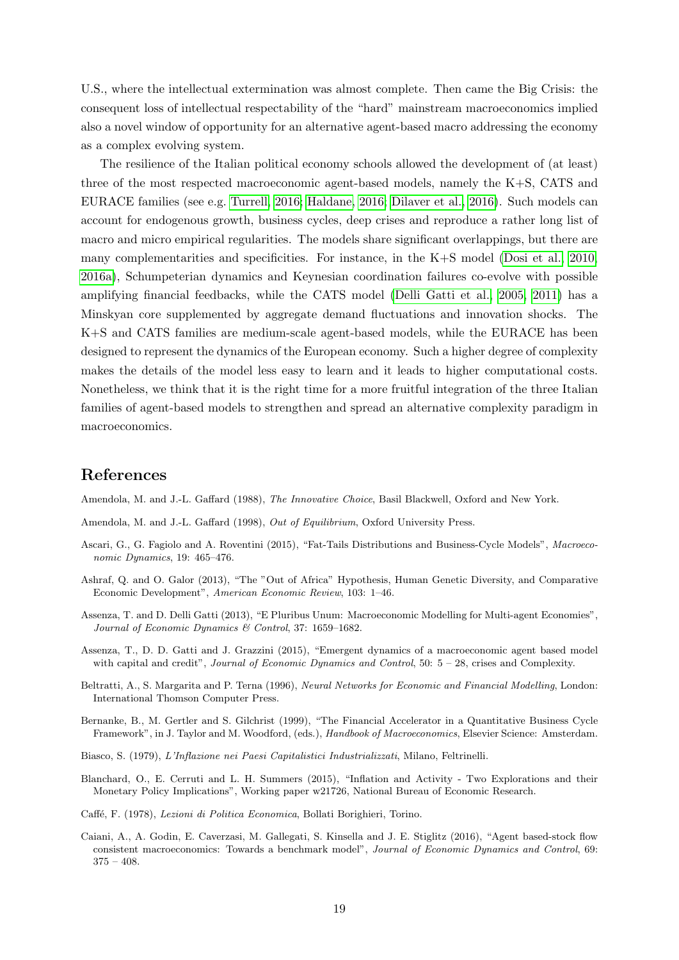U.S., where the intellectual extermination was almost complete. Then came the Big Crisis: the consequent loss of intellectual respectability of the "hard" mainstream macroeconomics implied also a novel window of opportunity for an alternative agent-based macro addressing the economy as a complex evolving system.

The resilience of the Italian political economy schools allowed the development of (at least) three of the most respected macroeconomic agent-based models, namely the K+S, CATS and EURACE families (see e.g. [Turrell, 2016;](#page-24-7) [Haldane, 2016;](#page-22-23) [Dilaver et al., 2016\)](#page-21-19). Such models can account for endogenous growth, business cycles, deep crises and reproduce a rather long list of macro and micro empirical regularities. The models share significant overlappings, but there are many complementarities and specificities. For instance, in the K+S model [\(Dosi et al., 2010,](#page-21-0) [2016a\)](#page-21-1), Schumpeterian dynamics and Keynesian coordination failures co-evolve with possible amplifying financial feedbacks, while the CATS model [\(Delli Gatti](#page-21-2) et al., [2005,](#page-21-2) [2011\)](#page-21-3) has a Minskyan core supplemented by aggregate demand fluctuations and innovation shocks. The K+S and CATS families are medium-scale agent-based models, while the EURACE has been designed to represent the dynamics of the European economy. Such a higher degree of complexity makes the details of the model less easy to learn and it leads to higher computational costs. Nonetheless, we think that it is the right time for a more fruitful integration of the three Italian families of agent-based models to strengthen and spread an alternative complexity paradigm in macroeconomics.

#### References

<span id="page-20-0"></span>Amendola, M. and J.-L. Gaffard (1988), The Innovative Choice, Basil Blackwell, Oxford and New York.

- <span id="page-20-1"></span>Amendola, M. and J.-L. Gaffard (1998), Out of Equilibrium, Oxford University Press.
- <span id="page-20-6"></span>Ascari, G., G. Fagiolo and A. Roventini (2015), "Fat-Tails Distributions and Business-Cycle Models", Macroeconomic Dynamics, 19: 465–476.
- <span id="page-20-5"></span>Ashraf, Q. and O. Galor (2013), "The "Out of Africa" Hypothesis, Human Genetic Diversity, and Comparative Economic Development", American Economic Review, 103: 1–46.
- <span id="page-20-11"></span>Assenza, T. and D. Delli Gatti (2013), "E Pluribus Unum: Macroeconomic Modelling for Multi-agent Economies", Journal of Economic Dynamics & Control, 37: 1659–1682.
- <span id="page-20-8"></span>Assenza, T., D. D. Gatti and J. Grazzini (2015), "Emergent dynamics of a macroeconomic agent based model with capital and credit", *Journal of Economic Dynamics and Control*, 50:  $5-28$ , crises and Complexity.
- <span id="page-20-2"></span>Beltratti, A., S. Margarita and P. Terna (1996), Neural Networks for Economic and Financial Modelling, London: International Thomson Computer Press.
- <span id="page-20-10"></span>Bernanke, B., M. Gertler and S. Gilchrist (1999), "The Financial Accelerator in a Quantitative Business Cycle Framework", in J. Taylor and M. Woodford, (eds.), Handbook of Macroeconomics, Elsevier Science: Amsterdam.
- <span id="page-20-4"></span>Biasco, S. (1979), L'Inflazione nei Paesi Capitalistici Industrializzati, Milano, Feltrinelli.
- <span id="page-20-7"></span>Blanchard, O., E. Cerruti and L. H. Summers (2015), "Inflation and Activity - Two Explorations and their Monetary Policy Implications", Working paper w21726, National Bureau of Economic Research.
- <span id="page-20-3"></span>Caffé, F. (1978), Lezioni di Politica Economica, Bollati Borighieri, Torino.
- <span id="page-20-9"></span>Caiani, A., A. Godin, E. Caverzasi, M. Gallegati, S. Kinsella and J. E. Stiglitz (2016), "Agent based-stock flow consistent macroeconomics: Towards a benchmark model", Journal of Economic Dynamics and Control, 69:  $375 - 408.$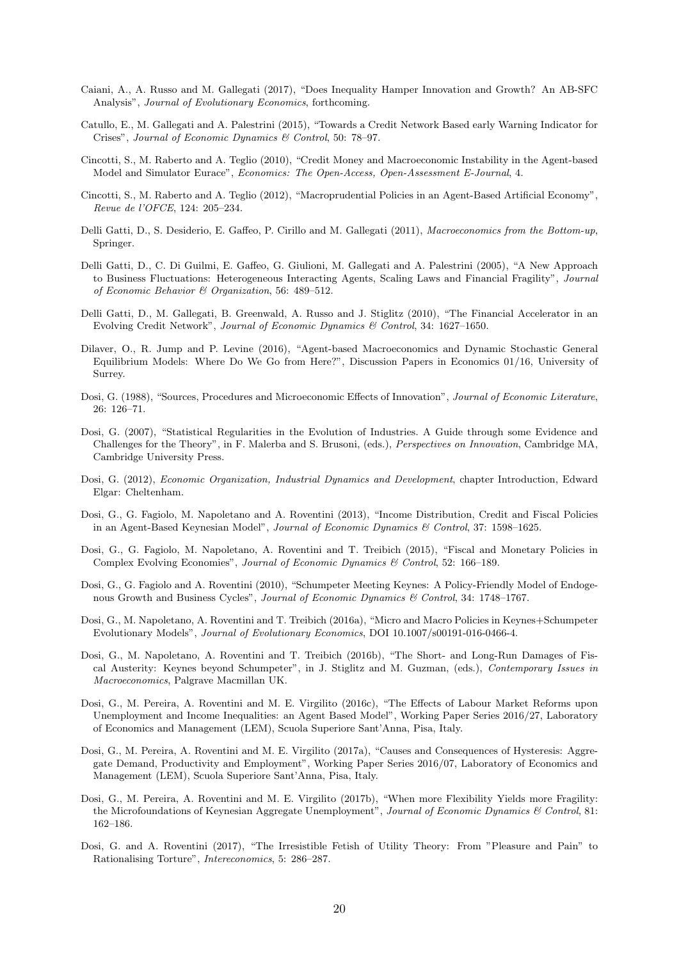- <span id="page-21-16"></span>Caiani, A., A. Russo and M. Gallegati (2017), "Does Inequality Hamper Innovation and Growth? An AB-SFC Analysis", Journal of Evolutionary Economics, forthcoming.
- <span id="page-21-17"></span>Catullo, E., M. Gallegati and A. Palestrini (2015), "Towards a Credit Network Based early Warning Indicator for Crises", Journal of Economic Dynamics & Control, 50: 78–97.
- <span id="page-21-4"></span>Cincotti, S., M. Raberto and A. Teglio (2010), "Credit Money and Macroeconomic Instability in the Agent-based Model and Simulator Eurace", Economics: The Open-Access, Open-Assessment E-Journal, 4.
- <span id="page-21-18"></span>Cincotti, S., M. Raberto and A. Teglio (2012), "Macroprudential Policies in an Agent-Based Artificial Economy", Revue de l'OFCE, 124: 205–234.
- <span id="page-21-3"></span>Delli Gatti, D., S. Desiderio, E. Gaffeo, P. Cirillo and M. Gallegati (2011), Macroeconomics from the Bottom-up, Springer.
- <span id="page-21-2"></span>Delli Gatti, D., C. Di Guilmi, E. Gaffeo, G. Giulioni, M. Gallegati and A. Palestrini (2005), "A New Approach to Business Fluctuations: Heterogeneous Interacting Agents, Scaling Laws and Financial Fragility", Journal of Economic Behavior & Organization, 56: 489–512.
- <span id="page-21-15"></span>Delli Gatti, D., M. Gallegati, B. Greenwald, A. Russo and J. Stiglitz (2010), "The Financial Accelerator in an Evolving Credit Network", Journal of Economic Dynamics & Control, 34: 1627–1650.
- <span id="page-21-19"></span>Dilaver, O., R. Jump and P. Levine (2016), "Agent-based Macroeconomics and Dynamic Stochastic General Equilibrium Models: Where Do We Go from Here?", Discussion Papers in Economics 01/16, University of Surrey.
- <span id="page-21-9"></span>Dosi, G. (1988), "Sources, Procedures and Microeconomic Effects of Innovation", Journal of Economic Literature, 26: 126–71.
- <span id="page-21-10"></span>Dosi, G. (2007), "Statistical Regularities in the Evolution of Industries. A Guide through some Evidence and Challenges for the Theory", in F. Malerba and S. Brusoni, (eds.), Perspectives on Innovation, Cambridge MA, Cambridge University Press.
- <span id="page-21-6"></span>Dosi, G. (2012), Economic Organization, Industrial Dynamics and Development, chapter Introduction, Edward Elgar: Cheltenham.
- <span id="page-21-7"></span>Dosi, G., G. Fagiolo, M. Napoletano and A. Roventini (2013), "Income Distribution, Credit and Fiscal Policies in an Agent-Based Keynesian Model", Journal of Economic Dynamics & Control, 37: 1598–1625.
- <span id="page-21-8"></span>Dosi, G., G. Fagiolo, M. Napoletano, A. Roventini and T. Treibich (2015), "Fiscal and Monetary Policies in Complex Evolving Economies", Journal of Economic Dynamics & Control, 52: 166–189.
- <span id="page-21-0"></span>Dosi, G., G. Fagiolo and A. Roventini (2010), "Schumpeter Meeting Keynes: A Policy-Friendly Model of Endogenous Growth and Business Cycles", Journal of Economic Dynamics & Control, 34: 1748–1767.
- <span id="page-21-1"></span>Dosi, G., M. Napoletano, A. Roventini and T. Treibich (2016a), "Micro and Macro Policies in Keynes+Schumpeter Evolutionary Models", Journal of Evolutionary Economics, DOI 10.1007/s00191-016-0466-4.
- <span id="page-21-11"></span>Dosi, G., M. Napoletano, A. Roventini and T. Treibich (2016b), "The Short- and Long-Run Damages of Fiscal Austerity: Keynes beyond Schumpeter", in J. Stiglitz and M. Guzman, (eds.), Contemporary Issues in Macroeconomics, Palgrave Macmillan UK.
- <span id="page-21-13"></span>Dosi, G., M. Pereira, A. Roventini and M. E. Virgilito (2016c), "The Effects of Labour Market Reforms upon Unemployment and Income Inequalities: an Agent Based Model", Working Paper Series 2016/27, Laboratory of Economics and Management (LEM), Scuola Superiore Sant'Anna, Pisa, Italy.
- <span id="page-21-14"></span>Dosi, G., M. Pereira, A. Roventini and M. E. Virgilito (2017a), "Causes and Consequences of Hysteresis: Aggregate Demand, Productivity and Employment", Working Paper Series 2016/07, Laboratory of Economics and Management (LEM), Scuola Superiore Sant'Anna, Pisa, Italy.
- <span id="page-21-12"></span>Dosi, G., M. Pereira, A. Roventini and M. E. Virgilito (2017b), "When more Flexibility Yields more Fragility: the Microfoundations of Keynesian Aggregate Unemployment", Journal of Economic Dynamics & Control, 81: 162–186.
- <span id="page-21-5"></span>Dosi, G. and A. Roventini (2017), "The Irresistible Fetish of Utility Theory: From "Pleasure and Pain" to Rationalising Torture", Intereconomics, 5: 286–287.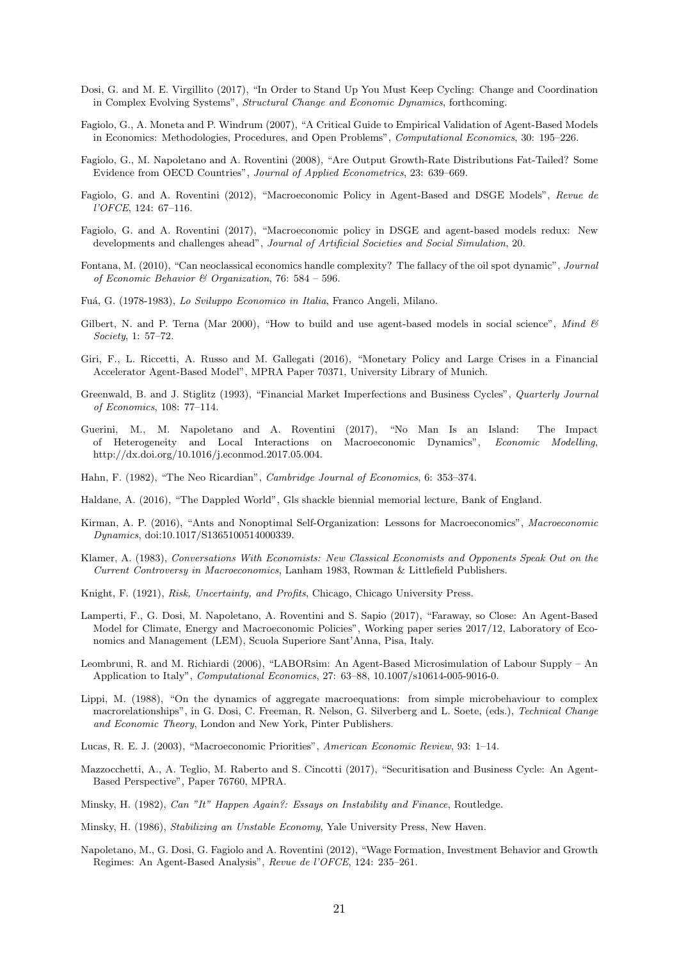- <span id="page-22-7"></span>Dosi, G. and M. E. Virgillito (2017), "In Order to Stand Up You Must Keep Cycling: Change and Coordination in Complex Evolving Systems", Structural Change and Economic Dynamics, forthcoming.
- <span id="page-22-11"></span>Fagiolo, G., A. Moneta and P. Windrum (2007), "A Critical Guide to Empirical Validation of Agent-Based Models in Economics: Methodologies, Procedures, and Open Problems", Computational Economics, 30: 195–226.
- <span id="page-22-13"></span>Fagiolo, G., M. Napoletano and A. Roventini (2008), "Are Output Growth-Rate Distributions Fat-Tailed? Some Evidence from OECD Countries", Journal of Applied Econometrics, 23: 639–669.
- <span id="page-22-8"></span>Fagiolo, G. and A. Roventini (2012), "Macroeconomic Policy in Agent-Based and DSGE Models", Revue de l'OFCE, 124: 67–116.
- <span id="page-22-9"></span>Fagiolo, G. and A. Roventini (2017), "Macroeconomic policy in DSGE and agent-based models redux: New developments and challenges ahead", Journal of Artificial Societies and Social Simulation, 20.
- <span id="page-22-1"></span>Fontana, M. (2010), "Can neoclassical economics handle complexity? The fallacy of the oil spot dynamic", Journal of Economic Behavior & Organization, 76: 584 – 596.
- <span id="page-22-4"></span>Fu´a, G. (1978-1983), Lo Sviluppo Economico in Italia, Franco Angeli, Milano.
- <span id="page-22-0"></span>Gilbert, N. and P. Terna (Mar 2000), "How to build and use agent-based models in social science", Mind  $\mathcal B$ Society, 1: 57–72.
- <span id="page-22-18"></span>Giri, F., L. Riccetti, A. Russo and M. Gallegati (2016), "Monetary Policy and Large Crises in a Financial Accelerator Agent-Based Model", MPRA Paper 70371, University Library of Munich.
- <span id="page-22-17"></span>Greenwald, B. and J. Stiglitz (1993), "Financial Market Imperfections and Business Cycles", Quarterly Journal of Economics, 108: 77–114.
- <span id="page-22-19"></span>Guerini, M., M. Napoletano and A. Roventini (2017), "No Man Is an Island: The Impact of Heterogeneity and Local Interactions on Macroeconomic Dynamics", Economic Modelling, http://dx.doi.org/10.1016/j.econmod.2017.05.004.
- <span id="page-22-3"></span>Hahn, F. (1982), "The Neo Ricardian", Cambridge Journal of Economics, 6: 353–374.
- <span id="page-22-23"></span>Haldane, A. (2016), "The Dappled World", Gls shackle biennial memorial lecture, Bank of England.
- <span id="page-22-6"></span>Kirman, A. P. (2016), "Ants and Nonoptimal Self-Organization: Lessons for Macroeconomics", Macroeconomic Dynamics, doi:10.1017/S1365100514000339.
- <span id="page-22-21"></span>Klamer, A. (1983), Conversations With Economists: New Classical Economists and Opponents Speak Out on the Current Controversy in Macroeconomics, Lanham 1983, Rowman & Littlefield Publishers.
- <span id="page-22-10"></span>Knight, F. (1921), Risk, Uncertainty, and Profits, Chicago, Chicago University Press.
- <span id="page-22-15"></span>Lamperti, F., G. Dosi, M. Napoletano, A. Roventini and S. Sapio (2017), "Faraway, so Close: An Agent-Based Model for Climate, Energy and Macroeconomic Policies", Working paper series 2017/12, Laboratory of Economics and Management (LEM), Scuola Superiore Sant'Anna, Pisa, Italy.
- <span id="page-22-2"></span>Leombruni, R. and M. Richiardi (2006), "LABORsim: An Agent-Based Microsimulation of Labour Supply – An Application to Italy", Computational Economics, 27: 63–88, 10.1007/s10614-005-9016-0.
- <span id="page-22-5"></span>Lippi, M. (1988), "On the dynamics of aggregate macroequations: from simple microbehaviour to complex macrorelationships", in G. Dosi, C. Freeman, R. Nelson, G. Silverberg and L. Soete, (eds.), Technical Change and Economic Theory, London and New York, Pinter Publishers.
- <span id="page-22-22"></span>Lucas, R. E. J. (2003), "Macroeconomic Priorities", American Economic Review, 93: 1–14.
- <span id="page-22-20"></span>Mazzocchetti, A., A. Teglio, M. Raberto and S. Cincotti (2017), "Securitisation and Business Cycle: An Agent-Based Perspective", Paper 76760, MPRA.
- <span id="page-22-16"></span>Minsky, H. (1982), Can "It" Happen Again?: Essays on Instability and Finance, Routledge.
- <span id="page-22-12"></span>Minsky, H. (1986), Stabilizing an Unstable Economy, Yale University Press, New Haven.
- <span id="page-22-14"></span>Napoletano, M., G. Dosi, G. Fagiolo and A. Roventini (2012), "Wage Formation, Investment Behavior and Growth Regimes: An Agent-Based Analysis", Revue de l'OFCE, 124: 235–261.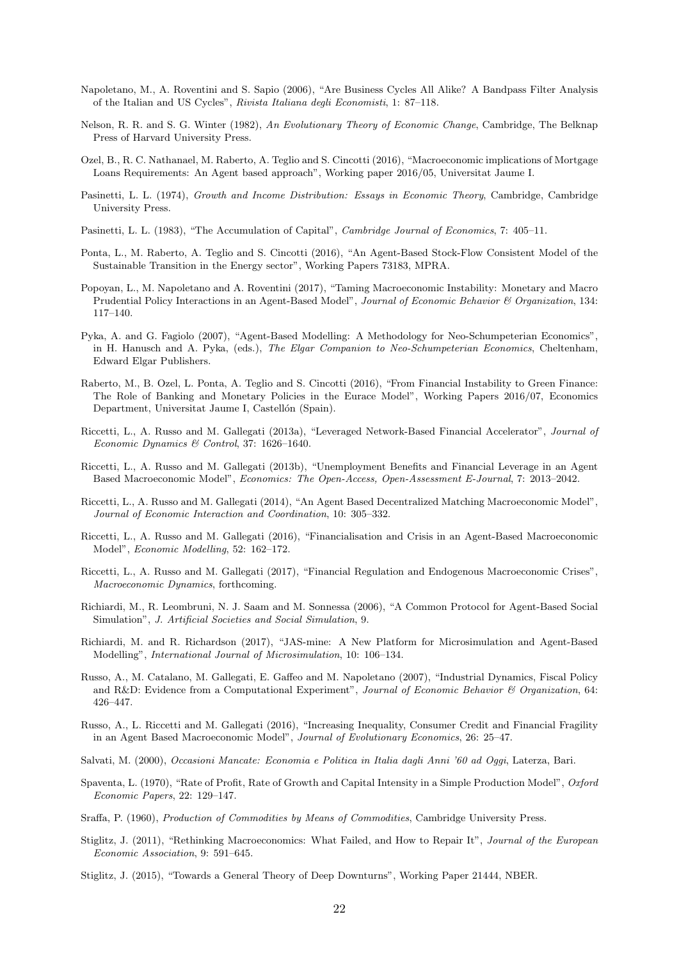- <span id="page-23-11"></span>Napoletano, M., A. Roventini and S. Sapio (2006), "Are Business Cycles All Alike? A Bandpass Filter Analysis of the Italian and US Cycles", Rivista Italiana degli Economisti, 1: 87–118.
- <span id="page-23-8"></span>Nelson, R. R. and S. G. Winter (1982), An Evolutionary Theory of Economic Change, Cambridge, The Belknap Press of Harvard University Press.
- <span id="page-23-20"></span>Ozel, B., R. C. Nathanael, M. Raberto, A. Teglio and S. Cincotti (2016), "Macroeconomic implications of Mortgage Loans Requirements: An Agent based approach", Working paper 2016/05, Universitat Jaume I.
- <span id="page-23-0"></span>Pasinetti, L. L. (1974), Growth and Income Distribution: Essays in Economic Theory, Cambridge, Cambridge University Press.
- <span id="page-23-1"></span>Pasinetti, L. L. (1983), "The Accumulation of Capital", Cambridge Journal of Economics, 7: 405–11.
- <span id="page-23-21"></span>Ponta, L., M. Raberto, A. Teglio and S. Cincotti (2016), "An Agent-Based Stock-Flow Consistent Model of the Sustainable Transition in the Energy sector", Working Papers 73183, MPRA.
- <span id="page-23-18"></span>Popoyan, L., M. Napoletano and A. Roventini (2017), "Taming Macroeconomic Instability: Monetary and Macro Prudential Policy Interactions in an Agent-Based Model", Journal of Economic Behavior & Organization, 134: 117–140.
- <span id="page-23-7"></span>Pyka, A. and G. Fagiolo (2007), "Agent-Based Modelling: A Methodology for Neo-Schumpeterian Economics", in H. Hanusch and A. Pyka, (eds.), The Elgar Companion to Neo-Schumpeterian Economics, Cheltenham, Edward Elgar Publishers.
- <span id="page-23-22"></span>Raberto, M., B. Ozel, L. Ponta, A. Teglio and S. Cincotti (2016), "From Financial Instability to Green Finance: The Role of Banking and Monetary Policies in the Eurace Model", Working Papers 2016/07, Economics Department, Universitat Jaume I, Castellón (Spain).
- <span id="page-23-19"></span>Riccetti, L., A. Russo and M. Gallegati (2013a), "Leveraged Network-Based Financial Accelerator", Journal of Economic Dynamics & Control, 37: 1626–1640.
- <span id="page-23-14"></span>Riccetti, L., A. Russo and M. Gallegati (2013b), "Unemployment Benefits and Financial Leverage in an Agent Based Macroeconomic Model", Economics: The Open-Access, Open-Assessment E-Journal, 7: 2013–2042.
- <span id="page-23-13"></span>Riccetti, L., A. Russo and M. Gallegati (2014), "An Agent Based Decentralized Matching Macroeconomic Model", Journal of Economic Interaction and Coordination, 10: 305–332.
- <span id="page-23-16"></span>Riccetti, L., A. Russo and M. Gallegati (2016), "Financialisation and Crisis in an Agent-Based Macroeconomic Model", Economic Modelling, 52: 162–172.
- <span id="page-23-17"></span>Riccetti, L., A. Russo and M. Gallegati (2017), "Financial Regulation and Endogenous Macroeconomic Crises", Macroeconomic Dynamics, forthcoming.
- <span id="page-23-3"></span>Richiardi, M., R. Leombruni, N. J. Saam and M. Sonnessa (2006), "A Common Protocol for Agent-Based Social Simulation", J. Artificial Societies and Social Simulation, 9.
- <span id="page-23-4"></span>Richiardi, M. and R. Richardson (2017), "JAS-mine: A New Platform for Microsimulation and Agent-Based Modelling", International Journal of Microsimulation, 10: 106–134.
- <span id="page-23-12"></span>Russo, A., M. Catalano, M. Gallegati, E. Gaffeo and M. Napoletano (2007), "Industrial Dynamics, Fiscal Policy and R&D: Evidence from a Computational Experiment", Journal of Economic Behavior & Organization, 64: 426–447.
- <span id="page-23-15"></span>Russo, A., L. Riccetti and M. Gallegati (2016), "Increasing Inequality, Consumer Credit and Financial Fragility in an Agent Based Macroeconomic Model", Journal of Evolutionary Economics, 26: 25–47.
- <span id="page-23-6"></span>Salvati, M. (2000), Occasioni Mancate: Economia e Politica in Italia dagli Anni '60 ad Oggi, Laterza, Bari.
- <span id="page-23-2"></span>Spaventa, L. (1970), "Rate of Profit, Rate of Growth and Capital Intensity in a Simple Production Model", Oxford Economic Papers, 22: 129–147.
- <span id="page-23-5"></span>Sraffa, P. (1960), Production of Commodities by Means of Commodities, Cambridge University Press.
- <span id="page-23-9"></span>Stiglitz, J. (2011), "Rethinking Macroeconomics: What Failed, and How to Repair It", Journal of the European Economic Association, 9: 591–645.
- <span id="page-23-10"></span>Stiglitz, J. (2015), "Towards a General Theory of Deep Downturns", Working Paper 21444, NBER.